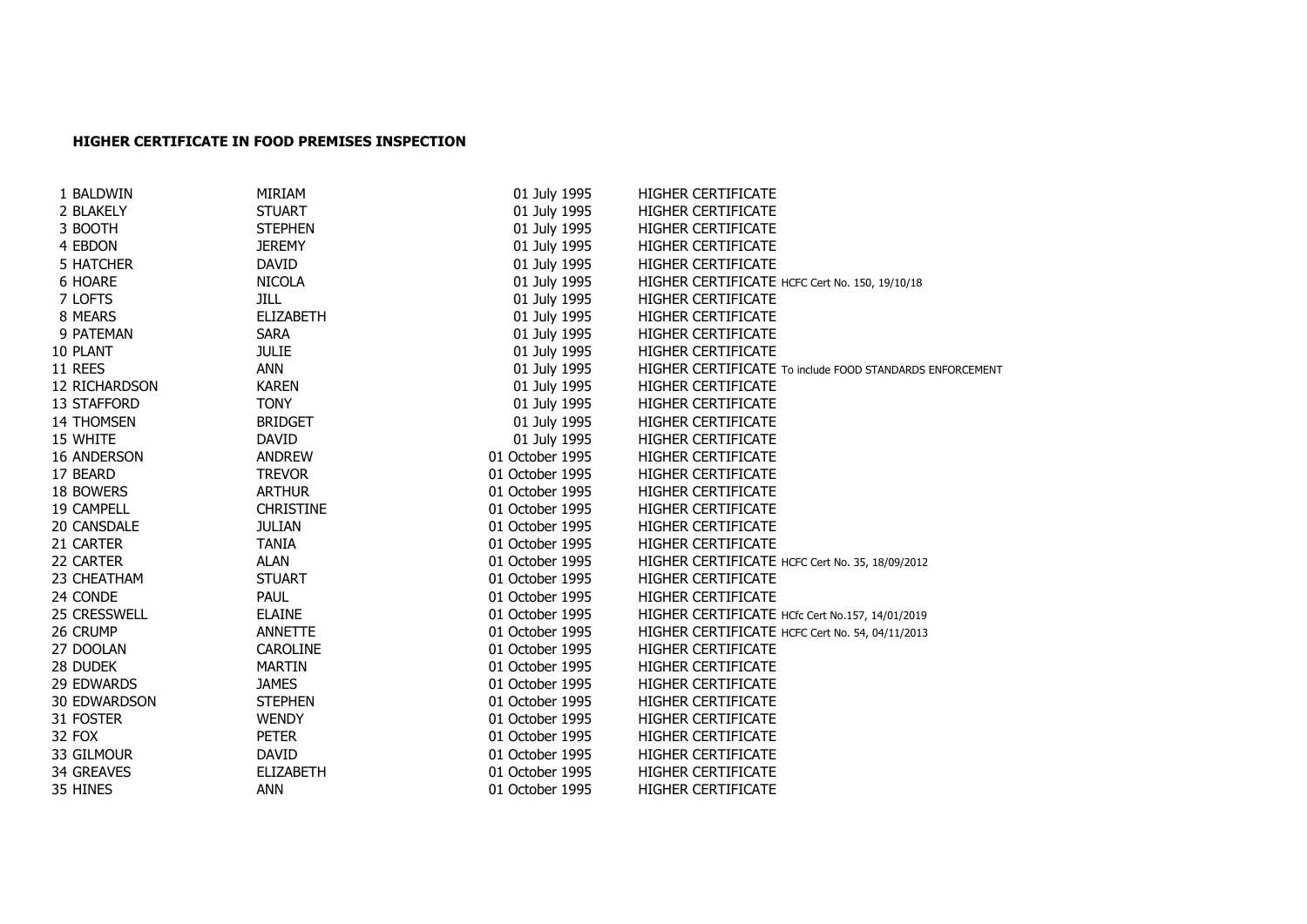## **HIGHER CERTIFICATE IN FOOD PREMISES INSPECTION**

| 1 BALDWIN           | MIRIAM           | 01 July 1995    | <b>HIGHER CERTIFICATE</b>                                |
|---------------------|------------------|-----------------|----------------------------------------------------------|
| 2 BLAKELY           | <b>STUART</b>    | 01 July 1995    | <b>HIGHER CERTIFICATE</b>                                |
| 3 BOOTH             | <b>STEPHEN</b>   | 01 July 1995    | <b>HIGHER CERTIFICATE</b>                                |
| 4 EBDON             | <b>JEREMY</b>    | 01 July 1995    | <b>HIGHER CERTIFICATE</b>                                |
| 5 HATCHER           | <b>DAVID</b>     | 01 July 1995    | <b>HIGHER CERTIFICATE</b>                                |
| 6 HOARE             | <b>NICOLA</b>    | 01 July 1995    | HIGHER CERTIFICATE HCFC Cert No. 150, 19/10/18           |
| 7 LOFTS             | <b>JILL</b>      | 01 July 1995    | <b>HIGHER CERTIFICATE</b>                                |
| 8 MEARS             | <b>ELIZABETH</b> | 01 July 1995    | <b>HIGHER CERTIFICATE</b>                                |
| 9 PATEMAN           | <b>SARA</b>      | 01 July 1995    | <b>HIGHER CERTIFICATE</b>                                |
| 10 PLANT            | <b>JULIE</b>     | 01 July 1995    | <b>HIGHER CERTIFICATE</b>                                |
| 11 REES             | ANN              | 01 July 1995    | HIGHER CERTIFICATE To include FOOD STANDARDS ENFORCEMENT |
| 12 RICHARDSON       | <b>KAREN</b>     | 01 July 1995    | <b>HIGHER CERTIFICATE</b>                                |
| 13 STAFFORD         | <b>TONY</b>      | 01 July 1995    | <b>HIGHER CERTIFICATE</b>                                |
| <b>14 THOMSEN</b>   | <b>BRIDGET</b>   | 01 July 1995    | <b>HIGHER CERTIFICATE</b>                                |
| 15 WHITE            | <b>DAVID</b>     | 01 July 1995    | <b>HIGHER CERTIFICATE</b>                                |
| 16 ANDERSON         | <b>ANDREW</b>    | 01 October 1995 | <b>HIGHER CERTIFICATE</b>                                |
| 17 BEARD            | <b>TREVOR</b>    | 01 October 1995 | <b>HIGHER CERTIFICATE</b>                                |
| 18 BOWERS           | <b>ARTHUR</b>    | 01 October 1995 | <b>HIGHER CERTIFICATE</b>                                |
| 19 CAMPELL          | <b>CHRISTINE</b> | 01 October 1995 | <b>HIGHER CERTIFICATE</b>                                |
| 20 CANSDALE         | <b>JULIAN</b>    | 01 October 1995 | <b>HIGHER CERTIFICATE</b>                                |
| 21 CARTER           | <b>TANIA</b>     | 01 October 1995 | <b>HIGHER CERTIFICATE</b>                                |
| 22 CARTER           | <b>ALAN</b>      | 01 October 1995 | HIGHER CERTIFICATE HCFC Cert No. 35, 18/09/2012          |
| 23 CHEATHAM         | <b>STUART</b>    | 01 October 1995 | <b>HIGHER CERTIFICATE</b>                                |
| 24 CONDE            | <b>PAUL</b>      | 01 October 1995 | <b>HIGHER CERTIFICATE</b>                                |
| <b>25 CRESSWELL</b> | <b>ELAINE</b>    | 01 October 1995 | HIGHER CERTIFICATE HCfc Cert No.157, 14/01/2019          |
| 26 CRUMP            | <b>ANNETTE</b>   | 01 October 1995 | HIGHER CERTIFICATE HCFC Cert No. 54, 04/11/2013          |
| 27 DOOLAN           | CAROLINE         | 01 October 1995 | <b>HIGHER CERTIFICATE</b>                                |
| 28 DUDEK            | <b>MARTIN</b>    | 01 October 1995 | <b>HIGHER CERTIFICATE</b>                                |
| 29 EDWARDS          | <b>JAMES</b>     | 01 October 1995 | <b>HIGHER CERTIFICATE</b>                                |
| <b>30 EDWARDSON</b> | <b>STEPHEN</b>   | 01 October 1995 | <b>HIGHER CERTIFICATE</b>                                |
| 31 FOSTER           | <b>WENDY</b>     | 01 October 1995 | <b>HIGHER CERTIFICATE</b>                                |
| 32 FOX              | <b>PETER</b>     | 01 October 1995 | <b>HIGHER CERTIFICATE</b>                                |
| 33 GILMOUR          | DAVID            | 01 October 1995 | HIGHER CERTIFICATE                                       |
| 34 GREAVES          | <b>ELIZABETH</b> | 01 October 1995 | <b>HIGHER CERTIFICATE</b>                                |
| 35 HINES            | <b>ANN</b>       | 01 October 1995 | <b>HIGHER CERTIFICATE</b>                                |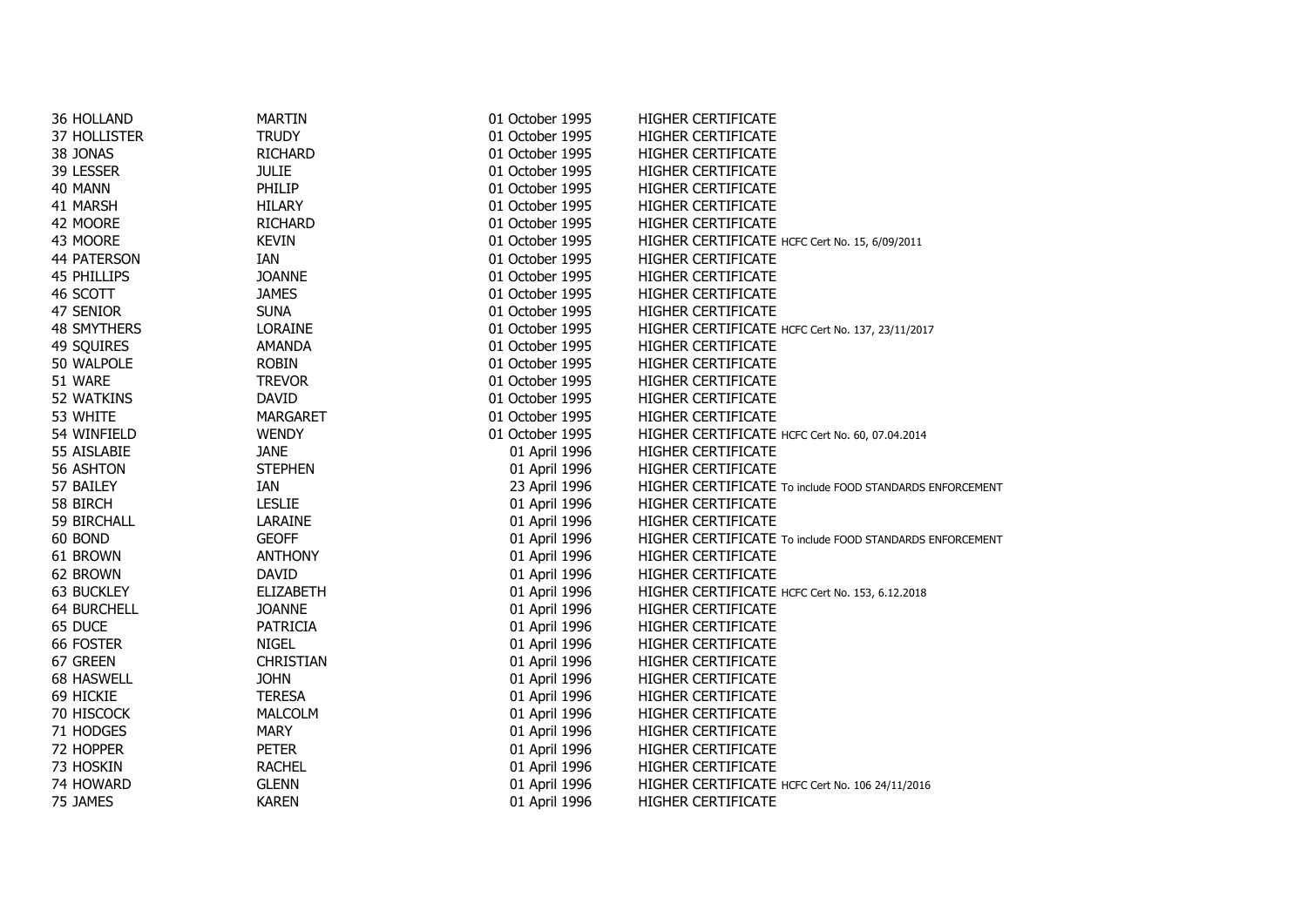| 36 HOLLAND         | <b>MARTIN</b>    | 01 October 1995 | HIGHER CERTIFICATE                                       |
|--------------------|------------------|-----------------|----------------------------------------------------------|
| 37 HOLLISTER       | <b>TRUDY</b>     | 01 October 1995 | HIGHER CERTIFICATE                                       |
| 38 JONAS           | <b>RICHARD</b>   | 01 October 1995 | <b>HIGHER CERTIFICATE</b>                                |
| 39 LESSER          | <b>JULIE</b>     | 01 October 1995 | <b>HIGHER CERTIFICATE</b>                                |
| 40 MANN            | PHILIP           | 01 October 1995 | <b>HIGHER CERTIFICATE</b>                                |
| 41 MARSH           | <b>HILARY</b>    | 01 October 1995 | <b>HIGHER CERTIFICATE</b>                                |
| 42 MOORE           | <b>RICHARD</b>   | 01 October 1995 | HIGHER CERTIFICATE                                       |
| 43 MOORE           | <b>KEVIN</b>     | 01 October 1995 | HIGHER CERTIFICATE HCFC Cert No. 15, 6/09/2011           |
| 44 PATERSON        | IAN              | 01 October 1995 | HIGHER CERTIFICATE                                       |
| 45 PHILLIPS        | <b>JOANNE</b>    | 01 October 1995 | <b>HIGHER CERTIFICATE</b>                                |
| 46 SCOTT           | <b>JAMES</b>     | 01 October 1995 | <b>HIGHER CERTIFICATE</b>                                |
| 47 SENIOR          | <b>SUNA</b>      | 01 October 1995 | HIGHER CERTIFICATE                                       |
| <b>48 SMYTHERS</b> | <b>LORAINE</b>   | 01 October 1995 | HIGHER CERTIFICATE HCFC Cert No. 137, 23/11/2017         |
| 49 SQUIRES         | <b>AMANDA</b>    | 01 October 1995 | HIGHER CERTIFICATE                                       |
| 50 WALPOLE         | <b>ROBIN</b>     | 01 October 1995 | <b>HIGHER CERTIFICATE</b>                                |
| 51 WARE            | <b>TREVOR</b>    | 01 October 1995 | <b>HIGHER CERTIFICATE</b>                                |
| 52 WATKINS         | <b>DAVID</b>     | 01 October 1995 | <b>HIGHER CERTIFICATE</b>                                |
| 53 WHITE           | <b>MARGARET</b>  | 01 October 1995 | HIGHER CERTIFICATE                                       |
| 54 WINFIELD        | <b>WENDY</b>     | 01 October 1995 | HIGHER CERTIFICATE HCFC Cert No. 60, 07.04.2014          |
| 55 AISLABIE        | <b>JANE</b>      | 01 April 1996   | HIGHER CERTIFICATE                                       |
| 56 ASHTON          | <b>STEPHEN</b>   | 01 April 1996   | <b>HIGHER CERTIFICATE</b>                                |
| 57 BAILEY          | IAN              | 23 April 1996   | HIGHER CERTIFICATE To include FOOD STANDARDS ENFORCEMENT |
| 58 BIRCH           | <b>LESLIE</b>    | 01 April 1996   | <b>HIGHER CERTIFICATE</b>                                |
| 59 BIRCHALL        | LARAINE          | 01 April 1996   | <b>HIGHER CERTIFICATE</b>                                |
| 60 BOND            | <b>GEOFF</b>     | 01 April 1996   | HIGHER CERTIFICATE To include FOOD STANDARDS ENFORCEMENT |
| 61 BROWN           | <b>ANTHONY</b>   | 01 April 1996   | <b>HIGHER CERTIFICATE</b>                                |
| 62 BROWN           | <b>DAVID</b>     | 01 April 1996   | HIGHER CERTIFICATE                                       |
| <b>63 BUCKLEY</b>  | <b>ELIZABETH</b> | 01 April 1996   | HIGHER CERTIFICATE HCFC Cert No. 153, 6.12.2018          |
| <b>64 BURCHELL</b> | <b>JOANNE</b>    | 01 April 1996   | <b>HIGHER CERTIFICATE</b>                                |
| 65 DUCE            | PATRICIA         | 01 April 1996   | <b>HIGHER CERTIFICATE</b>                                |
| 66 FOSTER          | <b>NIGEL</b>     | 01 April 1996   | <b>HIGHER CERTIFICATE</b>                                |
| 67 GREEN           | <b>CHRISTIAN</b> | 01 April 1996   | <b>HIGHER CERTIFICATE</b>                                |
| <b>68 HASWELL</b>  | <b>JOHN</b>      | 01 April 1996   | <b>HIGHER CERTIFICATE</b>                                |
| 69 HICKIE          | <b>TERESA</b>    | 01 April 1996   | HIGHER CERTIFICATE                                       |
| 70 HISCOCK         | <b>MALCOLM</b>   | 01 April 1996   | <b>HIGHER CERTIFICATE</b>                                |
| 71 HODGES          | <b>MARY</b>      | 01 April 1996   | <b>HIGHER CERTIFICATE</b>                                |
| 72 HOPPER          | <b>PETER</b>     | 01 April 1996   | <b>HIGHER CERTIFICATE</b>                                |
| 73 HOSKIN          | <b>RACHEL</b>    | 01 April 1996   | HIGHER CERTIFICATE                                       |
| 74 HOWARD          | <b>GLENN</b>     | 01 April 1996   | HIGHER CERTIFICATE HCFC Cert No. 106 24/11/2016          |
| 75 JAMES           | <b>KAREN</b>     | 01 April 1996   | <b>HIGHER CERTIFICATE</b>                                |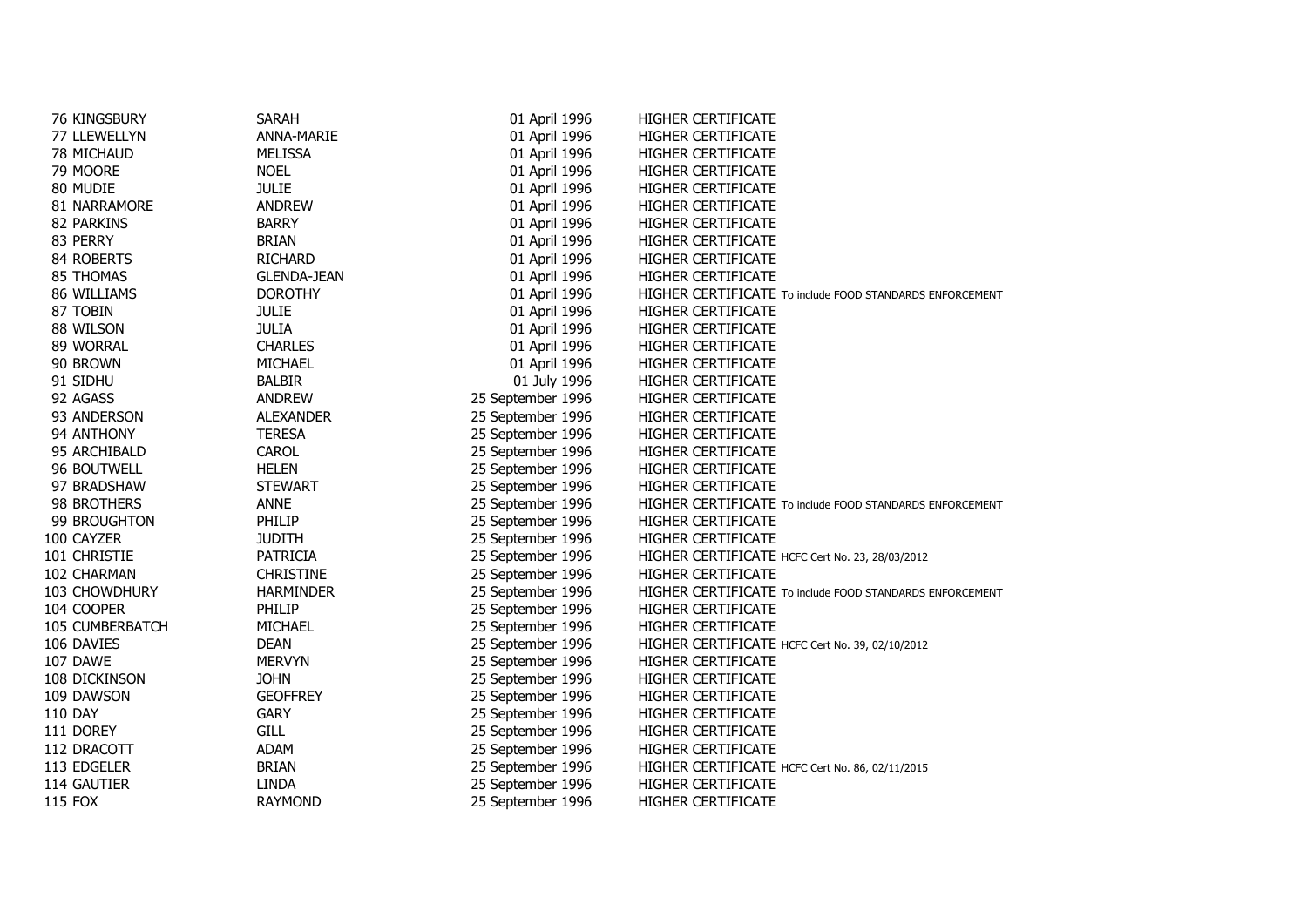| 76 KINGSBURY    | SARAH              | 01 April 1996     | HIGHER CERTIFICATE                                       |
|-----------------|--------------------|-------------------|----------------------------------------------------------|
| 77 LLEWELLYN    | ANNA-MARIE         | 01 April 1996     | HIGHER CERTIFICATE                                       |
| 78 MICHAUD      | <b>MELISSA</b>     | 01 April 1996     | HIGHER CERTIFICATE                                       |
| 79 MOORE        | <b>NOEL</b>        | 01 April 1996     | HIGHER CERTIFICATE                                       |
| 80 MUDIE        | <b>JULIE</b>       | 01 April 1996     | HIGHER CERTIFICATE                                       |
| 81 NARRAMORE    | <b>ANDREW</b>      | 01 April 1996     | HIGHER CERTIFICATE                                       |
| 82 PARKINS      | <b>BARRY</b>       | 01 April 1996     | <b>HIGHER CERTIFICATE</b>                                |
| 83 PERRY        | <b>BRIAN</b>       | 01 April 1996     | HIGHER CERTIFICATE                                       |
| 84 ROBERTS      | <b>RICHARD</b>     | 01 April 1996     | HIGHER CERTIFICATE                                       |
| 85 THOMAS       | <b>GLENDA-JEAN</b> | 01 April 1996     | HIGHER CERTIFICATE                                       |
| 86 WILLIAMS     | <b>DOROTHY</b>     | 01 April 1996     | HIGHER CERTIFICATE To include FOOD STANDARDS ENFORCEMENT |
| 87 TOBIN        | <b>JULIE</b>       | 01 April 1996     | HIGHER CERTIFICATE                                       |
| 88 WILSON       | <b>JULIA</b>       | 01 April 1996     | HIGHER CERTIFICATE                                       |
| 89 WORRAL       | <b>CHARLES</b>     | 01 April 1996     | <b>HIGHER CERTIFICATE</b>                                |
| 90 BROWN        | <b>MICHAEL</b>     | 01 April 1996     | <b>HIGHER CERTIFICATE</b>                                |
| 91 SIDHU        | <b>BALBIR</b>      | 01 July 1996      | HIGHER CERTIFICATE                                       |
| 92 AGASS        | <b>ANDREW</b>      | 25 September 1996 | HIGHER CERTIFICATE                                       |
| 93 ANDERSON     | <b>ALEXANDER</b>   | 25 September 1996 | HIGHER CERTIFICATE                                       |
| 94 ANTHONY      | <b>TERESA</b>      | 25 September 1996 | HIGHER CERTIFICATE                                       |
| 95 ARCHIBALD    | CAROL              | 25 September 1996 | HIGHER CERTIFICATE                                       |
| 96 BOUTWELL     | <b>HELEN</b>       | 25 September 1996 | HIGHER CERTIFICATE                                       |
| 97 BRADSHAW     | <b>STEWART</b>     | 25 September 1996 | <b>HIGHER CERTIFICATE</b>                                |
| 98 BROTHERS     | ANNE               | 25 September 1996 | HIGHER CERTIFICATE To include FOOD STANDARDS ENFORCEMENT |
| 99 BROUGHTON    | PHILIP             | 25 September 1996 | HIGHER CERTIFICATE                                       |
| 100 CAYZER      | <b>JUDITH</b>      | 25 September 1996 | <b>HIGHER CERTIFICATE</b>                                |
| 101 CHRISTIE    | <b>PATRICIA</b>    | 25 September 1996 | HIGHER CERTIFICATE HCFC Cert No. 23, 28/03/2012          |
| 102 CHARMAN     | <b>CHRISTINE</b>   | 25 September 1996 | HIGHER CERTIFICATE                                       |
| 103 CHOWDHURY   | <b>HARMINDER</b>   | 25 September 1996 | HIGHER CERTIFICATE To include FOOD STANDARDS ENFORCEMENT |
| 104 COOPER      | PHILIP             | 25 September 1996 | <b>HIGHER CERTIFICATE</b>                                |
| 105 CUMBERBATCH | <b>MICHAEL</b>     | 25 September 1996 | <b>HIGHER CERTIFICATE</b>                                |
| 106 DAVIES      | <b>DEAN</b>        | 25 September 1996 | HIGHER CERTIFICATE HCFC Cert No. 39, 02/10/2012          |
| 107 DAWE        | <b>MERVYN</b>      | 25 September 1996 | <b>HIGHER CERTIFICATE</b>                                |
| 108 DICKINSON   | <b>JOHN</b>        | 25 September 1996 | HIGHER CERTIFICATE                                       |
| 109 DAWSON      | <b>GEOFFREY</b>    | 25 September 1996 | HIGHER CERTIFICATE                                       |
| <b>110 DAY</b>  | <b>GARY</b>        | 25 September 1996 | HIGHER CERTIFICATE                                       |
| 111 DOREY       | <b>GILL</b>        | 25 September 1996 | HIGHER CERTIFICATE                                       |
| 112 DRACOTT     | ADAM               | 25 September 1996 | <b>HIGHER CERTIFICATE</b>                                |
| 113 EDGELER     | <b>BRIAN</b>       | 25 September 1996 | HIGHER CERTIFICATE HCFC Cert No. 86, 02/11/2015          |
| 114 GAUTIER     | <b>LINDA</b>       | 25 September 1996 | <b>HIGHER CERTIFICATE</b>                                |
| <b>115 FOX</b>  | <b>RAYMOND</b>     | 25 September 1996 | <b>HIGHER CERTIFICATE</b>                                |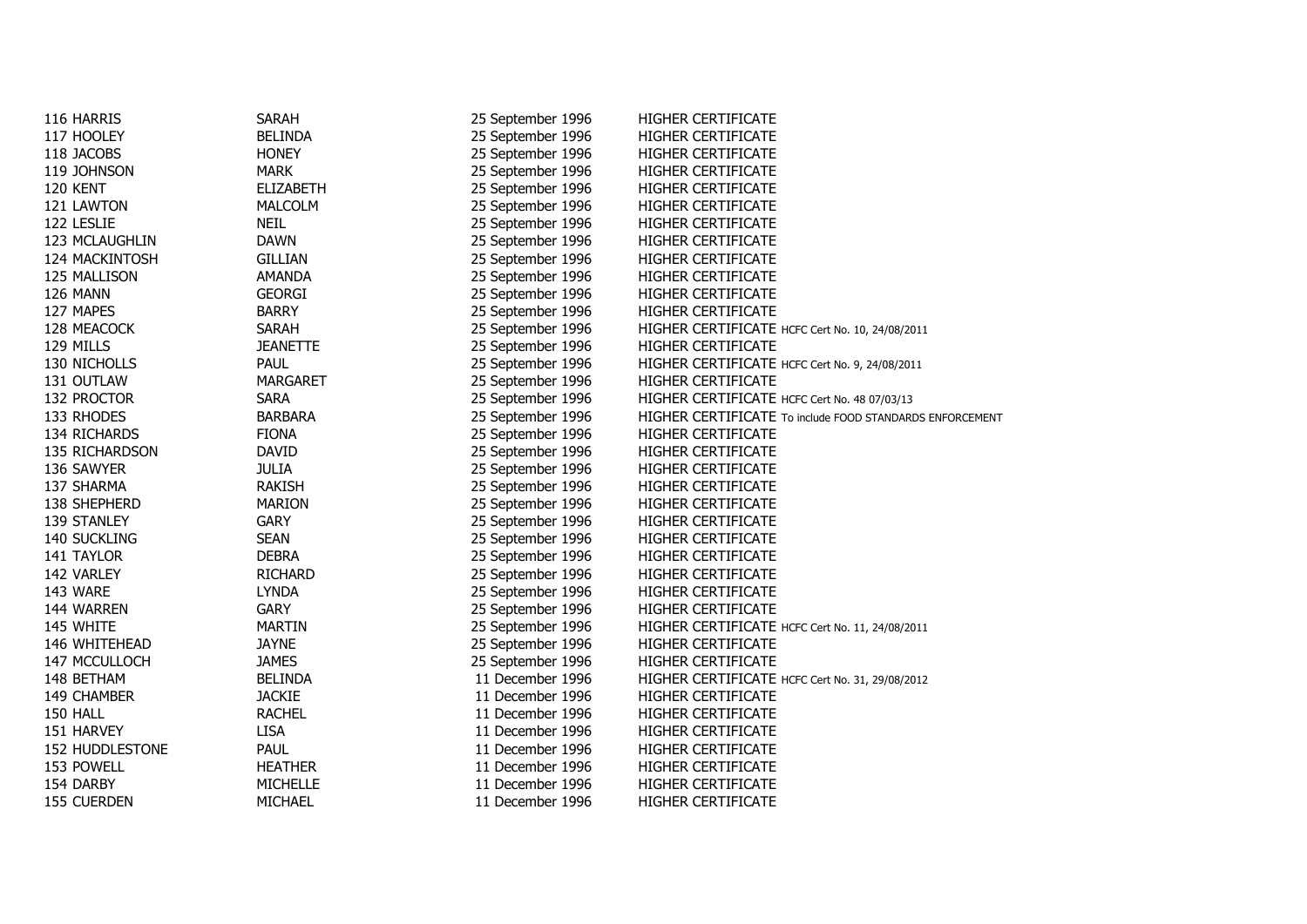| 116 HARRIS             | SARAH            | 25 September 1996 | <b>HIGHER CERTIFICATE</b>                                |  |
|------------------------|------------------|-------------------|----------------------------------------------------------|--|
| 117 HOOLEY             | <b>BELINDA</b>   | 25 September 1996 | HIGHER CERTIFICATE                                       |  |
| 118 JACOBS             | <b>HONEY</b>     | 25 September 1996 | HIGHER CERTIFICATE                                       |  |
| 119 JOHNSON            | <b>MARK</b>      | 25 September 1996 | HIGHER CERTIFICATE                                       |  |
| 120 KENT               | <b>ELIZABETH</b> | 25 September 1996 | <b>HIGHER CERTIFICATE</b>                                |  |
| 121 LAWTON             | <b>MALCOLM</b>   | 25 September 1996 | HIGHER CERTIFICATE                                       |  |
| 122 LESLIE             | <b>NEIL</b>      | 25 September 1996 | HIGHER CERTIFICATE                                       |  |
| 123 MCLAUGHLIN         | <b>DAWN</b>      | 25 September 1996 | HIGHER CERTIFICATE                                       |  |
| 124 MACKINTOSH         | <b>GILLIAN</b>   | 25 September 1996 | HIGHER CERTIFICATE                                       |  |
| 125 MALLISON           | AMANDA           | 25 September 1996 | HIGHER CERTIFICATE                                       |  |
| 126 MANN               | <b>GEORGI</b>    | 25 September 1996 | HIGHER CERTIFICATE                                       |  |
| 127 MAPES              | <b>BARRY</b>     | 25 September 1996 | HIGHER CERTIFICATE                                       |  |
| 128 MEACOCK            | <b>SARAH</b>     | 25 September 1996 | HIGHER CERTIFICATE HCFC Cert No. 10, 24/08/2011          |  |
| 129 MILLS              | <b>JEANETTE</b>  | 25 September 1996 | HIGHER CERTIFICATE                                       |  |
| 130 NICHOLLS           | <b>PAUL</b>      | 25 September 1996 | HIGHER CERTIFICATE HCFC Cert No. 9, 24/08/2011           |  |
| 131 OUTLAW             | <b>MARGARET</b>  | 25 September 1996 | <b>HIGHER CERTIFICATE</b>                                |  |
| 132 PROCTOR            | <b>SARA</b>      | 25 September 1996 | HIGHER CERTIFICATE HCFC Cert No. 48 07/03/13             |  |
| 133 RHODES             | <b>BARBARA</b>   | 25 September 1996 | HIGHER CERTIFICATE To include FOOD STANDARDS ENFORCEMENT |  |
| 134 RICHARDS           | <b>FIONA</b>     | 25 September 1996 | HIGHER CERTIFICATE                                       |  |
| 135 RICHARDSON         | <b>DAVID</b>     | 25 September 1996 | HIGHER CERTIFICATE                                       |  |
| 136 SAWYER             | <b>JULIA</b>     | 25 September 1996 | HIGHER CERTIFICATE                                       |  |
| 137 SHARMA             | RAKISH           | 25 September 1996 | HIGHER CERTIFICATE                                       |  |
| 138 SHEPHERD           | <b>MARION</b>    | 25 September 1996 | HIGHER CERTIFICATE                                       |  |
| 139 STANLEY            | <b>GARY</b>      | 25 September 1996 | <b>HIGHER CERTIFICATE</b>                                |  |
| 140 SUCKLING           | <b>SEAN</b>      | 25 September 1996 | HIGHER CERTIFICATE                                       |  |
| 141 TAYLOR             | <b>DEBRA</b>     | 25 September 1996 | HIGHER CERTIFICATE                                       |  |
| 142 VARLEY             | RICHARD          | 25 September 1996 | HIGHER CERTIFICATE                                       |  |
| 143 WARE               | <b>LYNDA</b>     | 25 September 1996 | <b>HIGHER CERTIFICATE</b>                                |  |
| 144 WARREN             | <b>GARY</b>      | 25 September 1996 | HIGHER CERTIFICATE                                       |  |
| 145 WHITE              | <b>MARTIN</b>    | 25 September 1996 | HIGHER CERTIFICATE HCFC Cert No. 11, 24/08/2011          |  |
| 146 WHITEHEAD          | <b>JAYNE</b>     | 25 September 1996 | <b>HIGHER CERTIFICATE</b>                                |  |
| 147 MCCULLOCH          | <b>JAMES</b>     | 25 September 1996 | <b>HIGHER CERTIFICATE</b>                                |  |
| 148 BETHAM             | <b>BELINDA</b>   | 11 December 1996  | HIGHER CERTIFICATE HCFC Cert No. 31, 29/08/2012          |  |
| 149 CHAMBER            | <b>JACKIE</b>    | 11 December 1996  | HIGHER CERTIFICATE                                       |  |
| 150 HALL               | <b>RACHEL</b>    | 11 December 1996  | HIGHER CERTIFICATE                                       |  |
| 151 HARVEY             | <b>LISA</b>      | 11 December 1996  | <b>HIGHER CERTIFICATE</b>                                |  |
| <b>152 HUDDLESTONE</b> | <b>PAUL</b>      | 11 December 1996  | <b>HIGHER CERTIFICATE</b>                                |  |
| 153 POWELL             | <b>HEATHER</b>   | 11 December 1996  | <b>HIGHER CERTIFICATE</b>                                |  |
| 154 DARBY              | MICHELLE         | 11 December 1996  | <b>HIGHER CERTIFICATE</b>                                |  |
| 155 CUERDEN            | MICHAEL          | 11 December 1996  | <b>HIGHER CERTIFICATE</b>                                |  |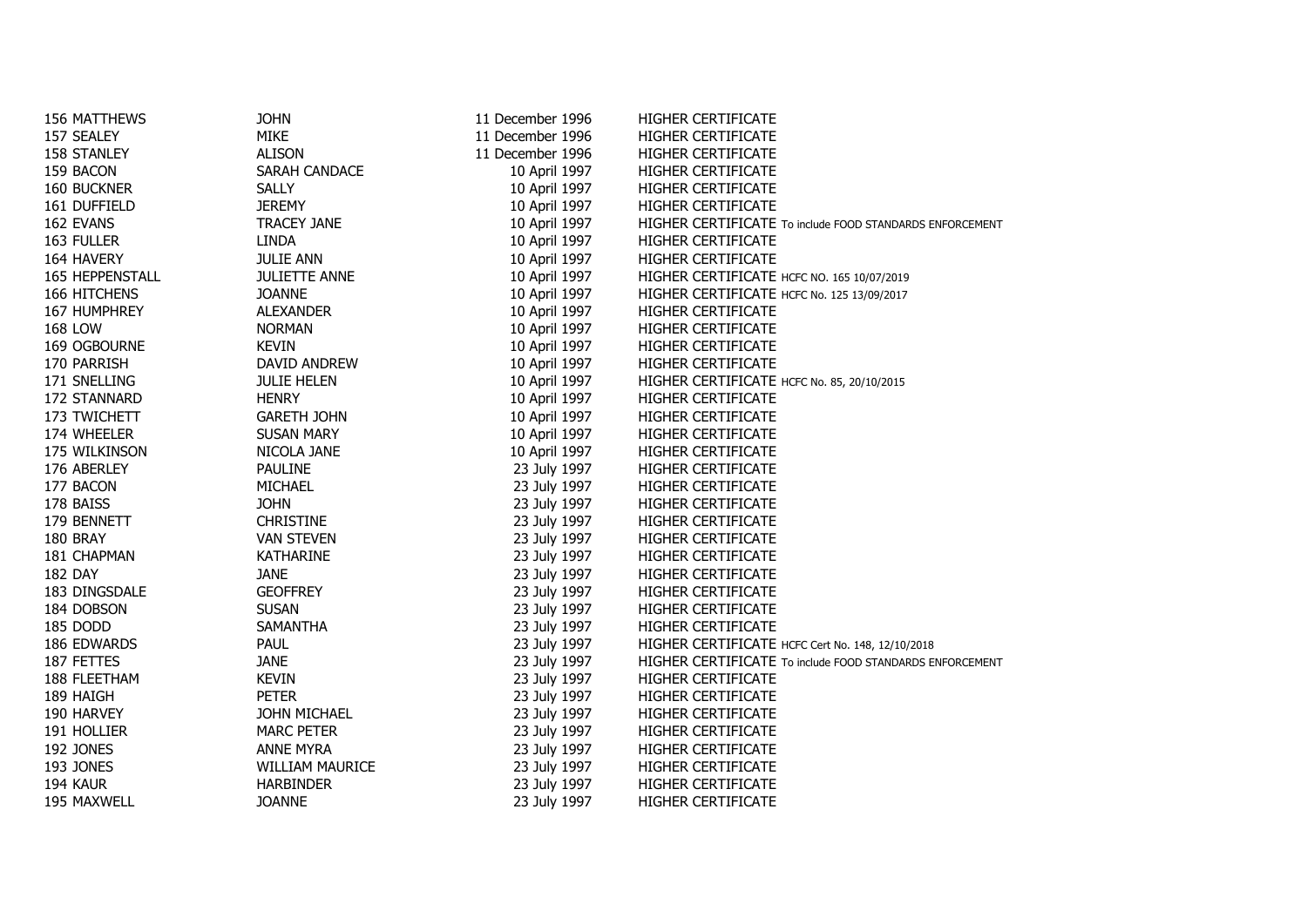| 156 MATTHEWS           | <b>JOHN</b>            | 11 December 1996 | <b>HIGHER CERTIFICATE</b>                                |  |
|------------------------|------------------------|------------------|----------------------------------------------------------|--|
| 157 SEALEY             | <b>MIKE</b>            | 11 December 1996 | HIGHER CERTIFICATE                                       |  |
| <b>158 STANLEY</b>     | <b>ALISON</b>          | 11 December 1996 | HIGHER CERTIFICATE                                       |  |
| 159 BACON              | SARAH CANDACE          | 10 April 1997    | HIGHER CERTIFICATE                                       |  |
| 160 BUCKNER            | <b>SALLY</b>           | 10 April 1997    | HIGHER CERTIFICATE                                       |  |
| 161 DUFFIELD           | <b>JEREMY</b>          | 10 April 1997    | HIGHER CERTIFICATE                                       |  |
| 162 EVANS              | <b>TRACEY JANE</b>     | 10 April 1997    | HIGHER CERTIFICATE To include FOOD STANDARDS ENFORCEMENT |  |
| 163 FULLER             | <b>LINDA</b>           | 10 April 1997    | HIGHER CERTIFICATE                                       |  |
| 164 HAVERY             | <b>JULIE ANN</b>       | 10 April 1997    | HIGHER CERTIFICATE                                       |  |
| <b>165 HEPPENSTALL</b> | <b>JULIETTE ANNE</b>   | 10 April 1997    | HIGHER CERTIFICATE HCFC NO. 165 10/07/2019               |  |
| 166 HITCHENS           | <b>JOANNE</b>          | 10 April 1997    | HIGHER CERTIFICATE HCFC No. 125 13/09/2017               |  |
| 167 HUMPHREY           | <b>ALEXANDER</b>       | 10 April 1997    | HIGHER CERTIFICATE                                       |  |
| <b>168 LOW</b>         | <b>NORMAN</b>          | 10 April 1997    | HIGHER CERTIFICATE                                       |  |
| 169 OGBOURNE           | <b>KEVIN</b>           | 10 April 1997    | HIGHER CERTIFICATE                                       |  |
| 170 PARRISH            | DAVID ANDREW           | 10 April 1997    | HIGHER CERTIFICATE                                       |  |
| 171 SNELLING           | <b>JULIE HELEN</b>     | 10 April 1997    | HIGHER CERTIFICATE HCFC No. 85, 20/10/2015               |  |
| 172 STANNARD           | <b>HENRY</b>           | 10 April 1997    | HIGHER CERTIFICATE                                       |  |
| 173 TWICHETT           | <b>GARETH JOHN</b>     | 10 April 1997    | HIGHER CERTIFICATE                                       |  |
| 174 WHEELER            | <b>SUSAN MARY</b>      | 10 April 1997    | HIGHER CERTIFICATE                                       |  |
| 175 WILKINSON          | NICOLA JANE            | 10 April 1997    | HIGHER CERTIFICATE                                       |  |
| 176 ABERLEY            | <b>PAULINE</b>         | 23 July 1997     | HIGHER CERTIFICATE                                       |  |
| 177 BACON              | MICHAEL                | 23 July 1997     | HIGHER CERTIFICATE                                       |  |
| 178 BAISS              | <b>JOHN</b>            | 23 July 1997     | HIGHER CERTIFICATE                                       |  |
| 179 BENNETT            | <b>CHRISTINE</b>       | 23 July 1997     | HIGHER CERTIFICATE                                       |  |
| 180 BRAY               | <b>VAN STEVEN</b>      | 23 July 1997     | <b>HIGHER CERTIFICATE</b>                                |  |
| 181 CHAPMAN            | KATHARINE              | 23 July 1997     | HIGHER CERTIFICATE                                       |  |
| <b>182 DAY</b>         | <b>JANE</b>            | 23 July 1997     | HIGHER CERTIFICATE                                       |  |
| 183 DINGSDALE          | <b>GEOFFREY</b>        | 23 July 1997     | HIGHER CERTIFICATE                                       |  |
| 184 DOBSON             | <b>SUSAN</b>           | 23 July 1997     | <b>HIGHER CERTIFICATE</b>                                |  |
| 185 DODD               | <b>SAMANTHA</b>        | 23 July 1997     | HIGHER CERTIFICATE                                       |  |
| 186 EDWARDS            | <b>PAUL</b>            | 23 July 1997     | HIGHER CERTIFICATE HCFC Cert No. 148, 12/10/2018         |  |
| 187 FETTES             | <b>JANE</b>            | 23 July 1997     | HIGHER CERTIFICATE To include FOOD STANDARDS ENFORCEMENT |  |
| 188 FLEETHAM           | <b>KEVIN</b>           | 23 July 1997     | HIGHER CERTIFICATE                                       |  |
| 189 HAIGH              | <b>PETER</b>           | 23 July 1997     | HIGHER CERTIFICATE                                       |  |
| 190 HARVEY             | JOHN MICHAEL           | 23 July 1997     | HIGHER CERTIFICATE                                       |  |
| 191 HOLLIER            | <b>MARC PETER</b>      | 23 July 1997     | HIGHER CERTIFICATE                                       |  |
| <b>192 JONES</b>       | <b>ANNE MYRA</b>       | 23 July 1997     | HIGHER CERTIFICATE                                       |  |
| 193 JONES              | <b>WILLIAM MAURICE</b> | 23 July 1997     | HIGHER CERTIFICATE                                       |  |
| 194 KAUR               | <b>HARBINDER</b>       | 23 July 1997     | HIGHER CERTIFICATE                                       |  |
| 195 MAXWELL            | <b>JOANNE</b>          | 23 July 1997     | <b>HIGHER CERTIFICATE</b>                                |  |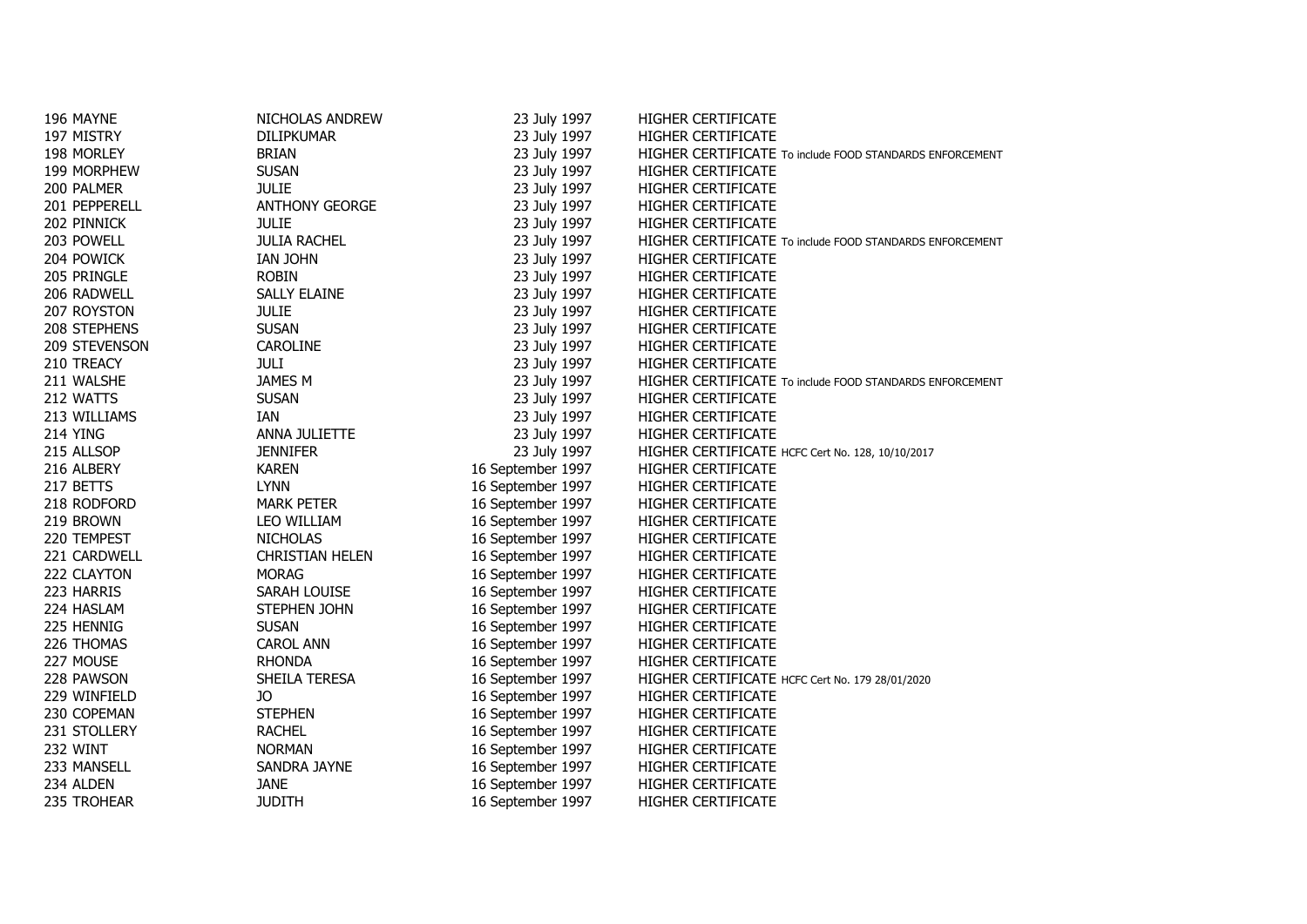| 196 MAYNE       | NICHOLAS ANDREW        | 23 July 1997      | HIGHER CERTIFICATE                                       |
|-----------------|------------------------|-------------------|----------------------------------------------------------|
| 197 MISTRY      | DILIPKUMAR             | 23 July 1997      | HIGHER CERTIFICATE                                       |
| 198 MORLEY      | <b>BRIAN</b>           | 23 July 1997      | HIGHER CERTIFICATE To include FOOD STANDARDS ENFORCEMENT |
| 199 MORPHEW     | <b>SUSAN</b>           | 23 July 1997      | HIGHER CERTIFICATE                                       |
| 200 PALMER      | <b>JULIE</b>           | 23 July 1997      | HIGHER CERTIFICATE                                       |
| 201 PEPPERELL   | <b>ANTHONY GEORGE</b>  | 23 July 1997      | HIGHER CERTIFICATE                                       |
| 202 PINNICK     | <b>JULIE</b>           | 23 July 1997      | HIGHER CERTIFICATE                                       |
| 203 POWELL      | <b>JULIA RACHEL</b>    | 23 July 1997      | HIGHER CERTIFICATE To include FOOD STANDARDS ENFORCEMENT |
| 204 POWICK      | IAN JOHN               | 23 July 1997      | HIGHER CERTIFICATE                                       |
| 205 PRINGLE     | <b>ROBIN</b>           | 23 July 1997      | HIGHER CERTIFICATE                                       |
| 206 RADWELL     | <b>SALLY ELAINE</b>    | 23 July 1997      | HIGHER CERTIFICATE                                       |
| 207 ROYSTON     | <b>JULIE</b>           | 23 July 1997      | HIGHER CERTIFICATE                                       |
| 208 STEPHENS    | <b>SUSAN</b>           | 23 July 1997      | HIGHER CERTIFICATE                                       |
| 209 STEVENSON   | CAROLINE               | 23 July 1997      | HIGHER CERTIFICATE                                       |
| 210 TREACY      | JULI                   | 23 July 1997      | HIGHER CERTIFICATE                                       |
| 211 WALSHE      | JAMES M                | 23 July 1997      | HIGHER CERTIFICATE To include FOOD STANDARDS ENFORCEMENT |
| 212 WATTS       | <b>SUSAN</b>           | 23 July 1997      | HIGHER CERTIFICATE                                       |
| 213 WILLIAMS    | IAN                    | 23 July 1997      | HIGHER CERTIFICATE                                       |
| <b>214 YING</b> | ANNA JULIETTE          | 23 July 1997      | HIGHER CERTIFICATE                                       |
| 215 ALLSOP      | <b>JENNIFER</b>        | 23 July 1997      | HIGHER CERTIFICATE HCFC Cert No. 128, 10/10/2017         |
| 216 ALBERY      | <b>KAREN</b>           | 16 September 1997 | HIGHER CERTIFICATE                                       |
| 217 BETTS       | <b>LYNN</b>            | 16 September 1997 | HIGHER CERTIFICATE                                       |
| 218 RODFORD     | <b>MARK PETER</b>      | 16 September 1997 | HIGHER CERTIFICATE                                       |
| 219 BROWN       | LEO WILLIAM            | 16 September 1997 | HIGHER CERTIFICATE                                       |
| 220 TEMPEST     | <b>NICHOLAS</b>        | 16 September 1997 | HIGHER CERTIFICATE                                       |
| 221 CARDWELL    | <b>CHRISTIAN HELEN</b> | 16 September 1997 | HIGHER CERTIFICATE                                       |
| 222 CLAYTON     | <b>MORAG</b>           | 16 September 1997 | HIGHER CERTIFICATE                                       |
| 223 HARRIS      | SARAH LOUISE           | 16 September 1997 | HIGHER CERTIFICATE                                       |
| 224 HASLAM      | STEPHEN JOHN           | 16 September 1997 | HIGHER CERTIFICATE                                       |
| 225 HENNIG      | <b>SUSAN</b>           | 16 September 1997 | HIGHER CERTIFICATE                                       |
| 226 THOMAS      | CAROL ANN              | 16 September 1997 | HIGHER CERTIFICATE                                       |
| 227 MOUSE       | <b>RHONDA</b>          | 16 September 1997 | HIGHER CERTIFICATE                                       |
| 228 PAWSON      | SHEILA TERESA          | 16 September 1997 | HIGHER CERTIFICATE HCFC Cert No. 179 28/01/2020          |
| 229 WINFIELD    | JO                     | 16 September 1997 | HIGHER CERTIFICATE                                       |
| 230 COPEMAN     | <b>STEPHEN</b>         | 16 September 1997 | HIGHER CERTIFICATE                                       |
| 231 STOLLERY    | <b>RACHEL</b>          | 16 September 1997 | HIGHER CERTIFICATE                                       |
| 232 WINT        | <b>NORMAN</b>          | 16 September 1997 | HIGHER CERTIFICATE                                       |
| 233 MANSELL     | SANDRA JAYNE           | 16 September 1997 | HIGHER CERTIFICATE                                       |
| 234 ALDEN       | <b>JANE</b>            | 16 September 1997 | HIGHER CERTIFICATE                                       |
| 235 TROHEAR     | <b>JUDITH</b>          | 16 September 1997 | HIGHER CERTIFICATE                                       |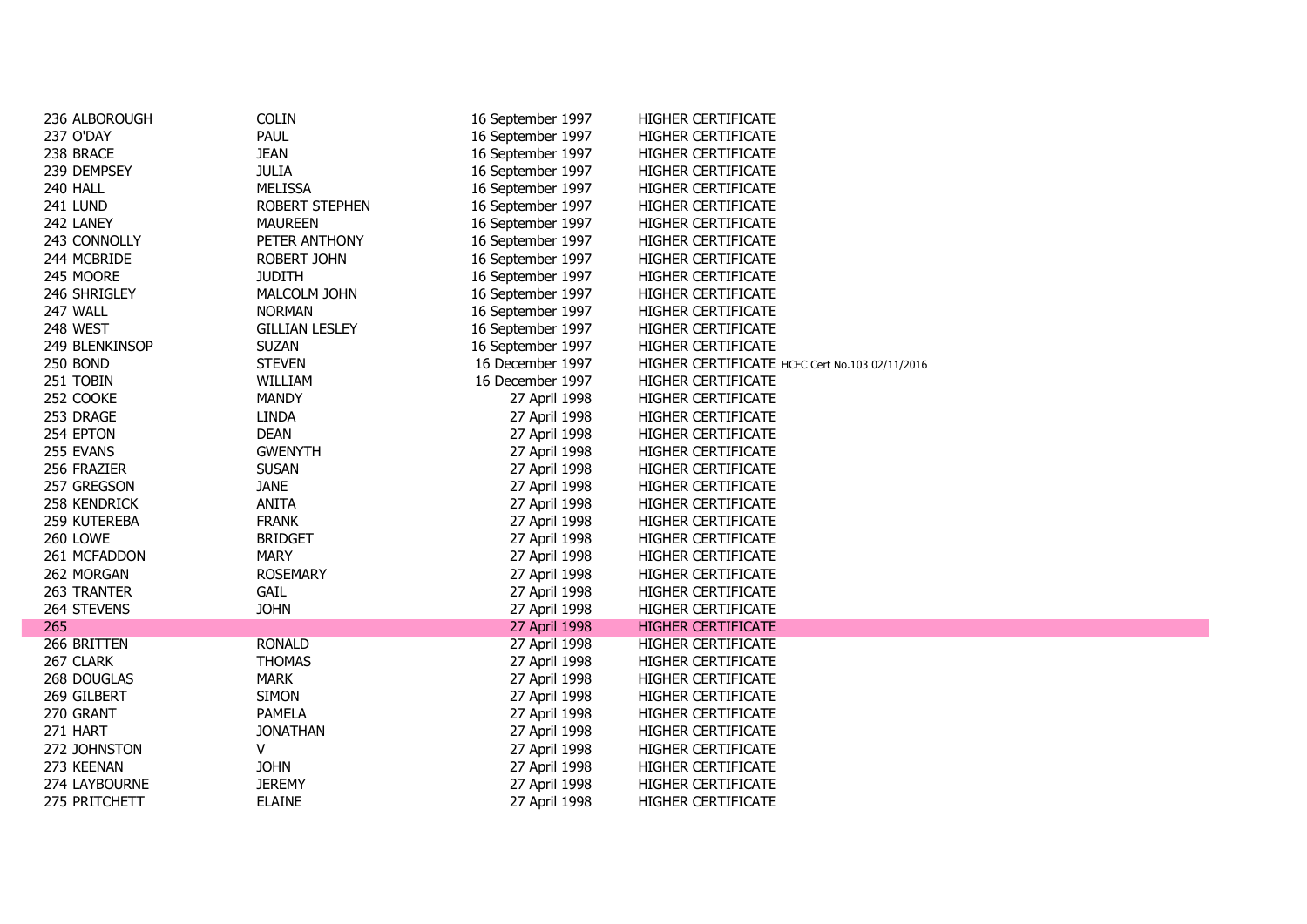| 236 ALBOROUGH  | <b>COLIN</b>          | 16 September 1997 | HIGHER CERTIFICATE                             |
|----------------|-----------------------|-------------------|------------------------------------------------|
| 237 O'DAY      | PAUL                  | 16 September 1997 | HIGHER CERTIFICATE                             |
| 238 BRACE      | <b>JEAN</b>           | 16 September 1997 | HIGHER CERTIFICATE                             |
| 239 DEMPSEY    | <b>JULIA</b>          | 16 September 1997 | HIGHER CERTIFICATE                             |
| 240 HALL       | <b>MELISSA</b>        | 16 September 1997 | HIGHER CERTIFICATE                             |
| 241 LUND       | ROBERT STEPHEN        | 16 September 1997 | HIGHER CERTIFICATE                             |
| 242 LANEY      | <b>MAUREEN</b>        | 16 September 1997 | HIGHER CERTIFICATE                             |
| 243 CONNOLLY   | PETER ANTHONY         | 16 September 1997 | HIGHER CERTIFICATE                             |
| 244 MCBRIDE    | <b>ROBERT JOHN</b>    | 16 September 1997 | HIGHER CERTIFICATE                             |
| 245 MOORE      | <b>JUDITH</b>         | 16 September 1997 | HIGHER CERTIFICATE                             |
| 246 SHRIGLEY   | MALCOLM JOHN          | 16 September 1997 | HIGHER CERTIFICATE                             |
| 247 WALL       | <b>NORMAN</b>         | 16 September 1997 | HIGHER CERTIFICATE                             |
| 248 WEST       | <b>GILLIAN LESLEY</b> | 16 September 1997 | HIGHER CERTIFICATE                             |
| 249 BLENKINSOP | <b>SUZAN</b>          | 16 September 1997 | HIGHER CERTIFICATE                             |
| 250 BOND       | <b>STEVEN</b>         | 16 December 1997  | HIGHER CERTIFICATE HCFC Cert No.103 02/11/2016 |
| 251 TOBIN      | WILLIAM               | 16 December 1997  | HIGHER CERTIFICATE                             |
| 252 COOKE      | <b>MANDY</b>          | 27 April 1998     | HIGHER CERTIFICATE                             |
| 253 DRAGE      | <b>LINDA</b>          | 27 April 1998     | HIGHER CERTIFICATE                             |
| 254 EPTON      | <b>DEAN</b>           | 27 April 1998     | HIGHER CERTIFICATE                             |
| 255 EVANS      | <b>GWENYTH</b>        | 27 April 1998     | HIGHER CERTIFICATE                             |
| 256 FRAZIER    | <b>SUSAN</b>          | 27 April 1998     | HIGHER CERTIFICATE                             |
| 257 GREGSON    | <b>JANE</b>           | 27 April 1998     | HIGHER CERTIFICATE                             |
| 258 KENDRICK   | <b>ANITA</b>          | 27 April 1998     | HIGHER CERTIFICATE                             |
| 259 KUTEREBA   | <b>FRANK</b>          | 27 April 1998     | HIGHER CERTIFICATE                             |
| 260 LOWE       | <b>BRIDGET</b>        | 27 April 1998     | HIGHER CERTIFICATE                             |
| 261 MCFADDON   | <b>MARY</b>           | 27 April 1998     | HIGHER CERTIFICATE                             |
| 262 MORGAN     | <b>ROSEMARY</b>       | 27 April 1998     | HIGHER CERTIFICATE                             |
| 263 TRANTER    | <b>GAIL</b>           | 27 April 1998     | HIGHER CERTIFICATE                             |
| 264 STEVENS    | <b>JOHN</b>           | 27 April 1998     | HIGHER CERTIFICATE                             |
| 265            |                       | 27 April 1998     | <b>HIGHER CERTIFICATE</b>                      |
| 266 BRITTEN    | <b>RONALD</b>         | 27 April 1998     | HIGHER CERTIFICATE                             |
| 267 CLARK      | <b>THOMAS</b>         | 27 April 1998     | HIGHER CERTIFICATE                             |
| 268 DOUGLAS    | <b>MARK</b>           | 27 April 1998     | HIGHER CERTIFICATE                             |
| 269 GILBERT    | <b>SIMON</b>          | 27 April 1998     | HIGHER CERTIFICATE                             |
| 270 GRANT      | <b>PAMELA</b>         | 27 April 1998     | HIGHER CERTIFICATE                             |
| 271 HART       | <b>JONATHAN</b>       | 27 April 1998     | HIGHER CERTIFICATE                             |
| 272 JOHNSTON   | v                     | 27 April 1998     | HIGHER CERTIFICATE                             |
| 273 KEENAN     | <b>JOHN</b>           | 27 April 1998     | <b>HIGHER CERTIFICATE</b>                      |
| 274 LAYBOURNE  | <b>JEREMY</b>         | 27 April 1998     | <b>HIGHER CERTIFICATE</b>                      |
| 275 PRITCHETT  | <b>ELAINE</b>         | 27 April 1998     | <b>HIGHER CERTIFICATE</b>                      |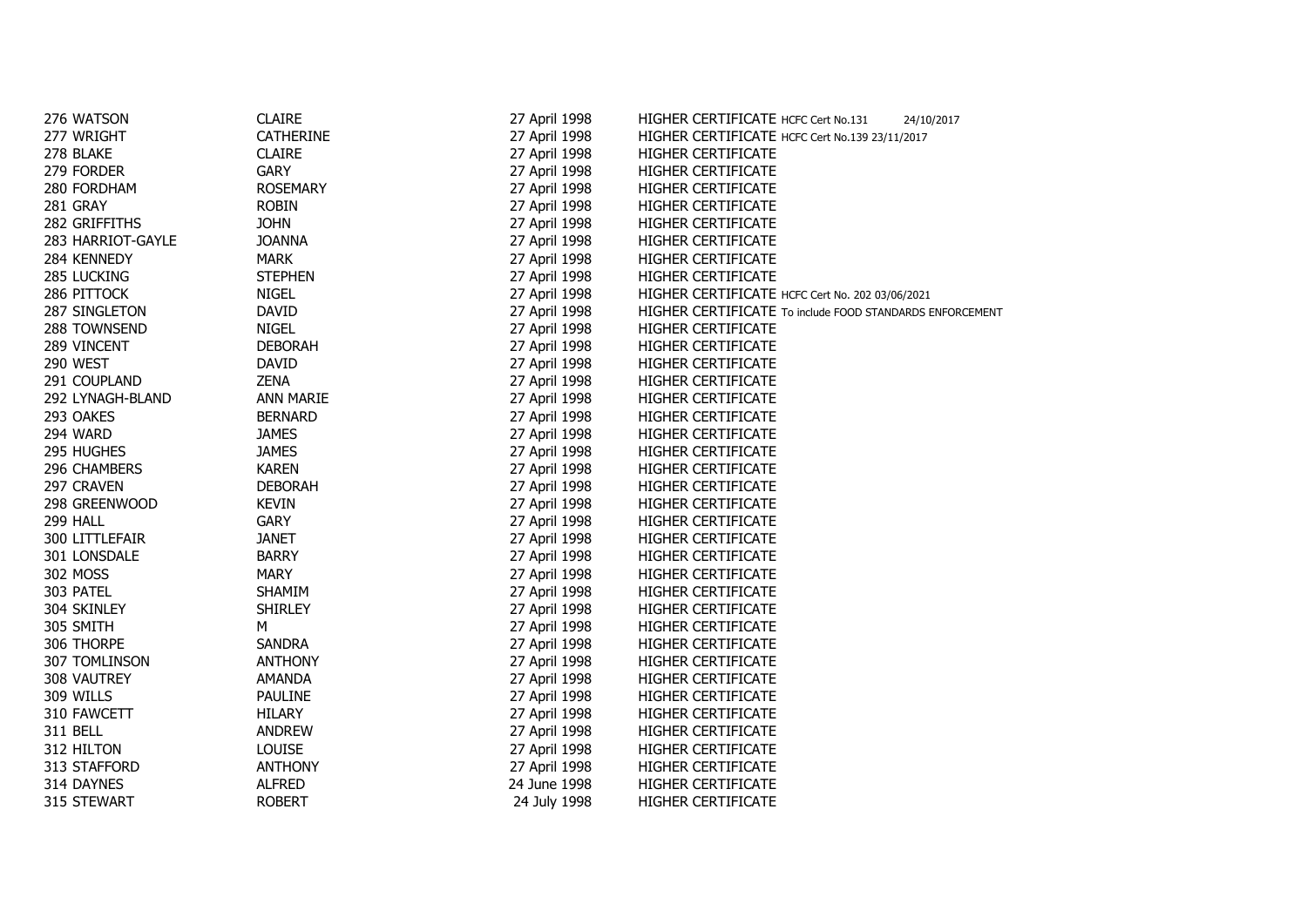| 276 WATSON        | <b>CLAIRE</b>    | 27 April 1998 | HIGHER CERTIFICATE HCFC Cert No.131<br>24/10/2017        |
|-------------------|------------------|---------------|----------------------------------------------------------|
| 277 WRIGHT        | <b>CATHERINE</b> | 27 April 1998 | HIGHER CERTIFICATE HCFC Cert No.139 23/11/2017           |
| 278 BLAKE         | <b>CLAIRE</b>    | 27 April 1998 | HIGHER CERTIFICATE                                       |
| 279 FORDER        | <b>GARY</b>      | 27 April 1998 | HIGHER CERTIFICATE                                       |
| 280 FORDHAM       | <b>ROSEMARY</b>  | 27 April 1998 | HIGHER CERTIFICATE                                       |
| 281 GRAY          | <b>ROBIN</b>     | 27 April 1998 | HIGHER CERTIFICATE                                       |
| 282 GRIFFITHS     | <b>JOHN</b>      | 27 April 1998 | HIGHER CERTIFICATE                                       |
| 283 HARRIOT-GAYLE | <b>JOANNA</b>    | 27 April 1998 | HIGHER CERTIFICATE                                       |
| 284 KENNEDY       | <b>MARK</b>      | 27 April 1998 | HIGHER CERTIFICATE                                       |
| 285 LUCKING       | <b>STEPHEN</b>   | 27 April 1998 | HIGHER CERTIFICATE                                       |
| 286 PITTOCK       | <b>NIGEL</b>     | 27 April 1998 | HIGHER CERTIFICATE HCFC Cert No. 202 03/06/2021          |
| 287 SINGLETON     | <b>DAVID</b>     | 27 April 1998 | HIGHER CERTIFICATE To include FOOD STANDARDS ENFORCEMENT |
| 288 TOWNSEND      | NIGEL            | 27 April 1998 | HIGHER CERTIFICATE                                       |
| 289 VINCENT       | <b>DEBORAH</b>   | 27 April 1998 | HIGHER CERTIFICATE                                       |
| 290 WEST          | <b>DAVID</b>     | 27 April 1998 | HIGHER CERTIFICATE                                       |
| 291 COUPLAND      | <b>ZENA</b>      | 27 April 1998 | HIGHER CERTIFICATE                                       |
| 292 LYNAGH-BLAND  | ANN MARIE        | 27 April 1998 | HIGHER CERTIFICATE                                       |
| 293 OAKES         | <b>BERNARD</b>   | 27 April 1998 | HIGHER CERTIFICATE                                       |
| 294 WARD          | <b>JAMES</b>     | 27 April 1998 | HIGHER CERTIFICATE                                       |
| 295 HUGHES        | <b>JAMES</b>     | 27 April 1998 | HIGHER CERTIFICATE                                       |
| 296 CHAMBERS      | <b>KAREN</b>     | 27 April 1998 | HIGHER CERTIFICATE                                       |
| 297 CRAVEN        | <b>DEBORAH</b>   | 27 April 1998 | HIGHER CERTIFICATE                                       |
| 298 GREENWOOD     | <b>KEVIN</b>     | 27 April 1998 | HIGHER CERTIFICATE                                       |
| 299 HALL          | <b>GARY</b>      | 27 April 1998 | HIGHER CERTIFICATE                                       |
| 300 LITTLEFAIR    | <b>JANET</b>     | 27 April 1998 | <b>HIGHER CERTIFICATE</b>                                |
| 301 LONSDALE      | <b>BARRY</b>     | 27 April 1998 | HIGHER CERTIFICATE                                       |
| 302 MOSS          | <b>MARY</b>      | 27 April 1998 | HIGHER CERTIFICATE                                       |
| 303 PATEL         | SHAMIM           | 27 April 1998 | HIGHER CERTIFICATE                                       |
| 304 SKINLEY       | <b>SHIRLEY</b>   | 27 April 1998 | HIGHER CERTIFICATE                                       |
| 305 SMITH         | M                | 27 April 1998 | HIGHER CERTIFICATE                                       |
| 306 THORPE        | <b>SANDRA</b>    | 27 April 1998 | <b>HIGHER CERTIFICATE</b>                                |
| 307 TOMLINSON     | <b>ANTHONY</b>   | 27 April 1998 | HIGHER CERTIFICATE                                       |
| 308 VAUTREY       | AMANDA           | 27 April 1998 | <b>HIGHER CERTIFICATE</b>                                |
| 309 WILLS         | <b>PAULINE</b>   | 27 April 1998 | HIGHER CERTIFICATE                                       |
| 310 FAWCETT       | <b>HILARY</b>    | 27 April 1998 | HIGHER CERTIFICATE                                       |
| 311 BELL          | ANDREW           | 27 April 1998 | HIGHER CERTIFICATE                                       |
| 312 HILTON        | <b>LOUISE</b>    | 27 April 1998 | HIGHER CERTIFICATE                                       |
| 313 STAFFORD      | <b>ANTHONY</b>   | 27 April 1998 | HIGHER CERTIFICATE                                       |
| 314 DAYNES        | <b>ALFRED</b>    | 24 June 1998  | <b>HIGHER CERTIFICATE</b>                                |
| 315 STEWART       | <b>ROBERT</b>    | 24 July 1998  | HIGHER CERTIFICATE                                       |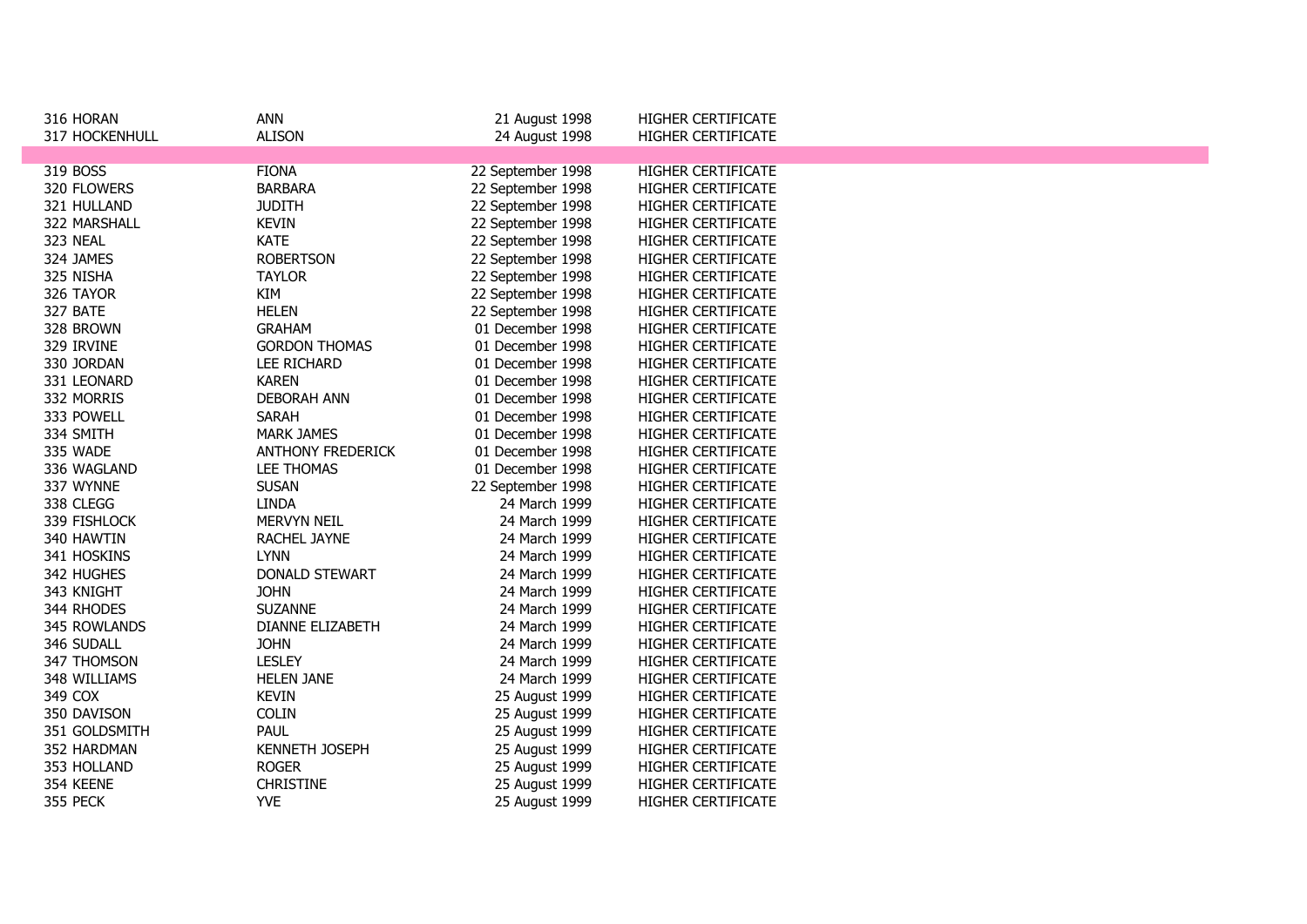| 316 HORAN      | <b>ANN</b>               | 21 August 1998    | <b>HIGHER CERTIFICATE</b> |  |
|----------------|--------------------------|-------------------|---------------------------|--|
| 317 HOCKENHULL | <b>ALISON</b>            | 24 August 1998    | HIGHER CERTIFICATE        |  |
|                |                          |                   |                           |  |
| 319 BOSS       | <b>FIONA</b>             | 22 September 1998 | HIGHER CERTIFICATE        |  |
| 320 FLOWERS    | <b>BARBARA</b>           | 22 September 1998 | <b>HIGHER CERTIFICATE</b> |  |
| 321 HULLAND    | <b>JUDITH</b>            | 22 September 1998 | HIGHER CERTIFICATE        |  |
| 322 MARSHALL   | <b>KEVIN</b>             | 22 September 1998 | HIGHER CERTIFICATE        |  |
| 323 NEAL       | <b>KATE</b>              | 22 September 1998 | HIGHER CERTIFICATE        |  |
| 324 JAMES      | <b>ROBERTSON</b>         | 22 September 1998 | <b>HIGHER CERTIFICATE</b> |  |
| 325 NISHA      | <b>TAYLOR</b>            | 22 September 1998 | HIGHER CERTIFICATE        |  |
| 326 TAYOR      | KIM                      | 22 September 1998 | <b>HIGHER CERTIFICATE</b> |  |
| 327 BATE       | <b>HELEN</b>             | 22 September 1998 | HIGHER CERTIFICATE        |  |
| 328 BROWN      | <b>GRAHAM</b>            | 01 December 1998  | HIGHER CERTIFICATE        |  |
| 329 IRVINE     | <b>GORDON THOMAS</b>     | 01 December 1998  | <b>HIGHER CERTIFICATE</b> |  |
| 330 JORDAN     | LEE RICHARD              | 01 December 1998  | <b>HIGHER CERTIFICATE</b> |  |
| 331 LEONARD    | <b>KAREN</b>             | 01 December 1998  | <b>HIGHER CERTIFICATE</b> |  |
| 332 MORRIS     | <b>DEBORAH ANN</b>       | 01 December 1998  | HIGHER CERTIFICATE        |  |
| 333 POWELL     | <b>SARAH</b>             | 01 December 1998  | <b>HIGHER CERTIFICATE</b> |  |
| 334 SMITH      | <b>MARK JAMES</b>        | 01 December 1998  | <b>HIGHER CERTIFICATE</b> |  |
| 335 WADE       | <b>ANTHONY FREDERICK</b> | 01 December 1998  | HIGHER CERTIFICATE        |  |
| 336 WAGLAND    | <b>LEE THOMAS</b>        | 01 December 1998  | <b>HIGHER CERTIFICATE</b> |  |
| 337 WYNNE      | <b>SUSAN</b>             | 22 September 1998 | <b>HIGHER CERTIFICATE</b> |  |
| 338 CLEGG      | <b>LINDA</b>             | 24 March 1999     | HIGHER CERTIFICATE        |  |
| 339 FISHLOCK   | MERVYN NEIL              | 24 March 1999     | <b>HIGHER CERTIFICATE</b> |  |
| 340 HAWTIN     | RACHEL JAYNE             | 24 March 1999     | HIGHER CERTIFICATE        |  |
| 341 HOSKINS    | <b>LYNN</b>              | 24 March 1999     | <b>HIGHER CERTIFICATE</b> |  |
| 342 HUGHES     | DONALD STEWART           | 24 March 1999     | HIGHER CERTIFICATE        |  |
| 343 KNIGHT     | <b>JOHN</b>              | 24 March 1999     | <b>HIGHER CERTIFICATE</b> |  |
| 344 RHODES     | <b>SUZANNE</b>           | 24 March 1999     | HIGHER CERTIFICATE        |  |
| 345 ROWLANDS   | DIANNE ELIZABETH         | 24 March 1999     | <b>HIGHER CERTIFICATE</b> |  |
| 346 SUDALL     | <b>JOHN</b>              | 24 March 1999     | <b>HIGHER CERTIFICATE</b> |  |
| 347 THOMSON    | <b>LESLEY</b>            | 24 March 1999     | <b>HIGHER CERTIFICATE</b> |  |
| 348 WILLIAMS   | <b>HELEN JANE</b>        | 24 March 1999     | HIGHER CERTIFICATE        |  |
| 349 COX        | <b>KEVIN</b>             | 25 August 1999    | HIGHER CERTIFICATE        |  |
| 350 DAVISON    | <b>COLIN</b>             | 25 August 1999    | HIGHER CERTIFICATE        |  |
| 351 GOLDSMITH  | PAUL                     | 25 August 1999    | <b>HIGHER CERTIFICATE</b> |  |
| 352 HARDMAN    | KENNETH JOSEPH           | 25 August 1999    | HIGHER CERTIFICATE        |  |
| 353 HOLLAND    | <b>ROGER</b>             | 25 August 1999    | HIGHER CERTIFICATE        |  |
| 354 KEENE      | <b>CHRISTINE</b>         | 25 August 1999    | HIGHER CERTIFICATE        |  |
| 355 PECK       | <b>YVE</b>               | 25 August 1999    | <b>HIGHER CERTIFICATE</b> |  |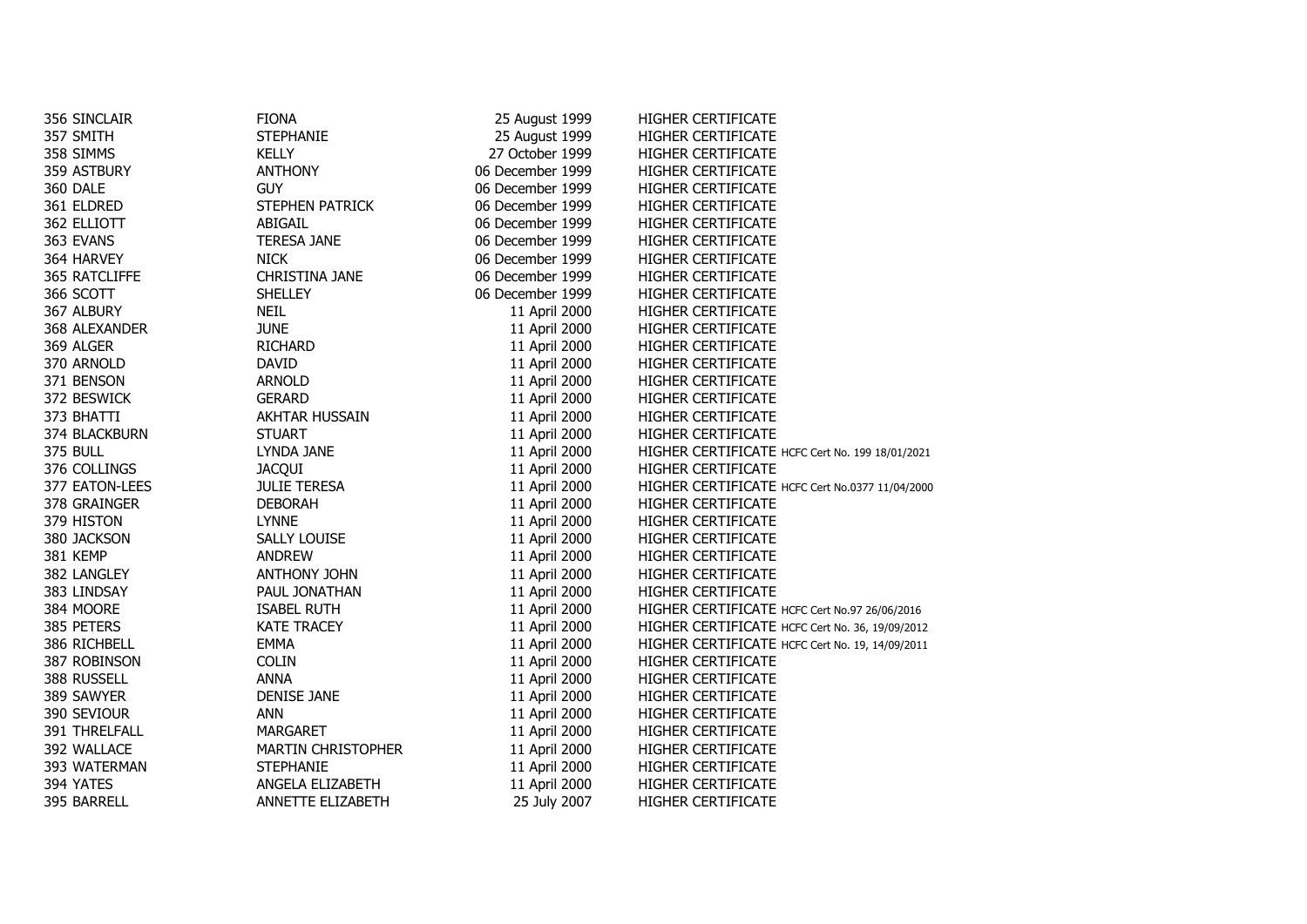| 356 SINCLAIR   | <b>FIONA</b>              | 25 August 1999   | HIGHER CERTIFICATE                              |
|----------------|---------------------------|------------------|-------------------------------------------------|
| 357 SMITH      | STEPHANIE                 | 25 August 1999   | HIGHER CERTIFICATE                              |
| 358 SIMMS      | <b>KELLY</b>              | 27 October 1999  | HIGHER CERTIFICATE                              |
| 359 ASTBURY    | <b>ANTHONY</b>            | 06 December 1999 | HIGHER CERTIFICATE                              |
| 360 DALE       | <b>GUY</b>                | 06 December 1999 | HIGHER CERTIFICATE                              |
| 361 ELDRED     | STEPHEN PATRICK           | 06 December 1999 | HIGHER CERTIFICATE                              |
| 362 ELLIOTT    | ABIGAIL                   | 06 December 1999 | HIGHER CERTIFICATE                              |
| 363 EVANS      | <b>TERESA JANE</b>        | 06 December 1999 | <b>HIGHER CERTIFICATE</b>                       |
| 364 HARVEY     | <b>NICK</b>               | 06 December 1999 | HIGHER CERTIFICATE                              |
| 365 RATCLIFFE  | CHRISTINA JANE            | 06 December 1999 | HIGHER CERTIFICATE                              |
| 366 SCOTT      | <b>SHELLEY</b>            | 06 December 1999 | HIGHER CERTIFICATE                              |
| 367 ALBURY     | <b>NEIL</b>               | 11 April 2000    | HIGHER CERTIFICATE                              |
| 368 ALEXANDER  | <b>JUNE</b>               | 11 April 2000    | HIGHER CERTIFICATE                              |
| 369 ALGER      | <b>RICHARD</b>            | 11 April 2000    | HIGHER CERTIFICATE                              |
| 370 ARNOLD     | <b>DAVID</b>              | 11 April 2000    | <b>HIGHER CERTIFICATE</b>                       |
| 371 BENSON     | <b>ARNOLD</b>             | 11 April 2000    | HIGHER CERTIFICATE                              |
| 372 beswick    | <b>GERARD</b>             | 11 April 2000    | HIGHER CERTIFICATE                              |
| 373 BHATTI     | AKHTAR HUSSAIN            | 11 April 2000    | HIGHER CERTIFICATE                              |
| 374 BLACKBURN  | <b>STUART</b>             | 11 April 2000    | HIGHER CERTIFICATE                              |
| 375 BULL       | LYNDA JANE                | 11 April 2000    | HIGHER CERTIFICATE HCFC Cert No. 199 18/01/2021 |
| 376 COLLINGS   | <b>JACQUI</b>             | 11 April 2000    | HIGHER CERTIFICATE                              |
| 377 EATON-LEES | <b>JULIE TERESA</b>       | 11 April 2000    | HIGHER CERTIFICATE HCFC Cert No.0377 11/04/2000 |
| 378 GRAINGER   | <b>DEBORAH</b>            | 11 April 2000    | HIGHER CERTIFICATE                              |
| 379 HISTON     | <b>LYNNE</b>              | 11 April 2000    | HIGHER CERTIFICATE                              |
| 380 JACKSON    | SALLY LOUISE              | 11 April 2000    | HIGHER CERTIFICATE                              |
| 381 KEMP       | ANDREW                    | 11 April 2000    | HIGHER CERTIFICATE                              |
| 382 LANGLEY    | ANTHONY JOHN              | 11 April 2000    | <b>HIGHER CERTIFICATE</b>                       |
| 383 LINDSAY    | PAUL JONATHAN             | 11 April 2000    | HIGHER CERTIFICATE                              |
| 384 MOORE      | <b>ISABEL RUTH</b>        | 11 April 2000    | HIGHER CERTIFICATE HCFC Cert No.97 26/06/2016   |
| 385 PETERS     | <b>KATE TRACEY</b>        | 11 April 2000    | HIGHER CERTIFICATE HCFC Cert No. 36, 19/09/2012 |
| 386 RICHBELL   | <b>EMMA</b>               | 11 April 2000    | HIGHER CERTIFICATE HCFC Cert No. 19, 14/09/2011 |
| 387 Robinson   | <b>COLIN</b>              | 11 April 2000    | HIGHER CERTIFICATE                              |
| 388 Russell    | <b>ANNA</b>               | 11 April 2000    | HIGHER CERTIFICATE                              |
| 389 SAWYER     | <b>DENISE JANE</b>        | 11 April 2000    | <b>HIGHER CERTIFICATE</b>                       |
| 390 Seviour    | <b>ANN</b>                | 11 April 2000    | HIGHER CERTIFICATE                              |
| 391 THRELFALL  | MARGARET                  | 11 April 2000    | HIGHER CERTIFICATE                              |
| 392 WALLACE    | <b>MARTIN CHRISTOPHER</b> | 11 April 2000    | <b>HIGHER CERTIFICATE</b>                       |
| 393 WATERMAN   | <b>STEPHANIE</b>          | 11 April 2000    | <b>HIGHER CERTIFICATE</b>                       |
| 394 YATES      | ANGELA ELIZABETH          | 11 April 2000    | HIGHER CERTIFICATE                              |
| 395 BARRELL    | ANNETTE ELIZABETH         | 25 July 2007     | <b>HIGHER CERTIFICATE</b>                       |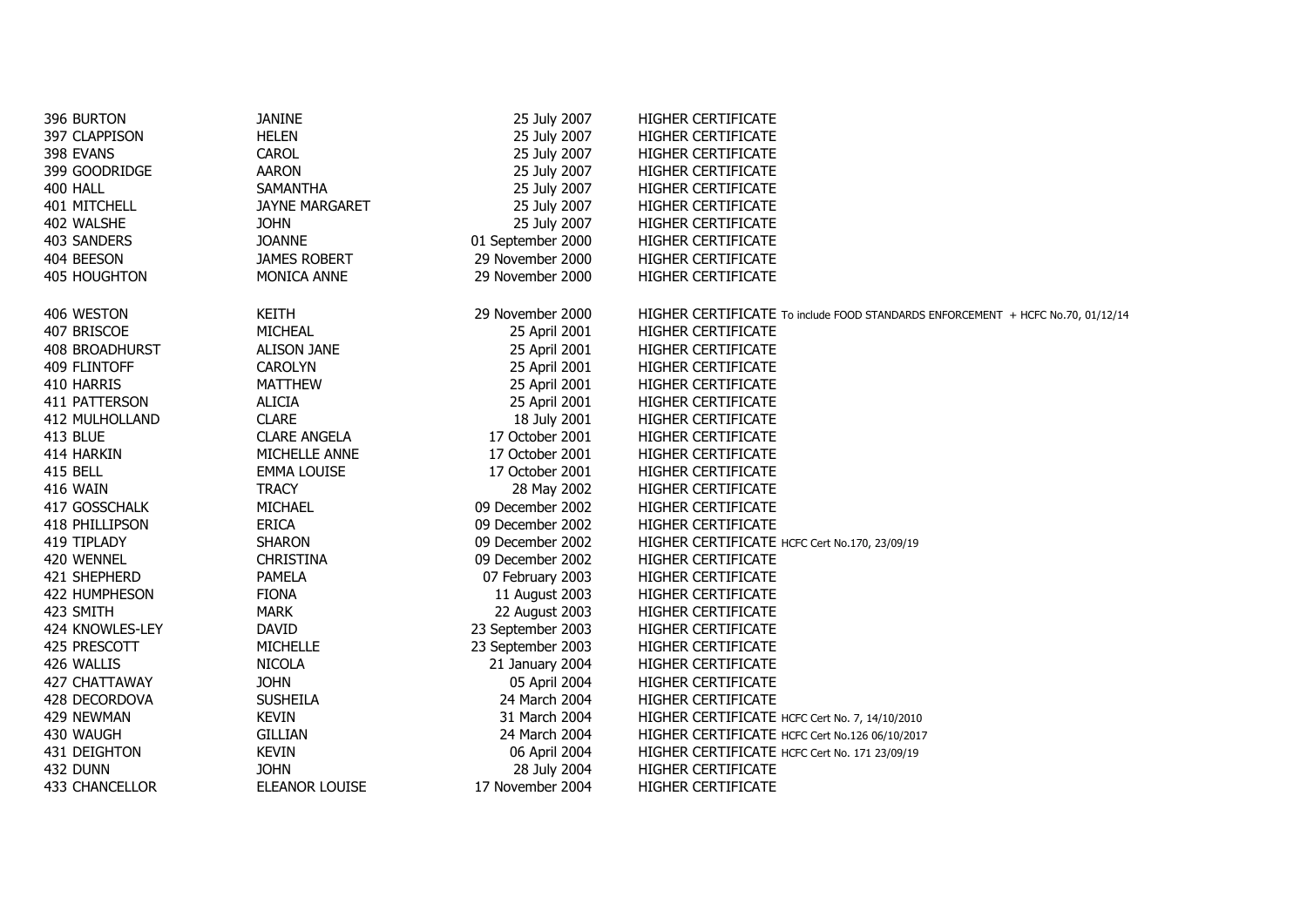| 396 BURTON      | <b>JANINE</b>         | 25 July 2007      | HIGHER CERTIFICATE                                                              |
|-----------------|-----------------------|-------------------|---------------------------------------------------------------------------------|
| 397 CLAPPISON   | <b>HELEN</b>          | 25 July 2007      | HIGHER CERTIFICATE                                                              |
| 398 EVANS       | CAROL                 | 25 July 2007      | HIGHER CERTIFICATE                                                              |
| 399 GOODRIDGE   | <b>AARON</b>          | 25 July 2007      | HIGHER CERTIFICATE                                                              |
| 400 HALL        | SAMANTHA              | 25 July 2007      | HIGHER CERTIFICATE                                                              |
| 401 MITCHELL    | <b>JAYNE MARGARET</b> | 25 July 2007      | HIGHER CERTIFICATE                                                              |
| 402 WALSHE      | <b>JOHN</b>           | 25 July 2007      | HIGHER CERTIFICATE                                                              |
| 403 SANDERS     | <b>JOANNE</b>         | 01 September 2000 | HIGHER CERTIFICATE                                                              |
| 404 BEESON      | <b>JAMES ROBERT</b>   | 29 November 2000  | HIGHER CERTIFICATE                                                              |
| 405 HOUGHTON    | MONICA ANNE           | 29 November 2000  | HIGHER CERTIFICATE                                                              |
| 406 WESTON      | KEITH                 | 29 November 2000  | HIGHER CERTIFICATE To include FOOD STANDARDS ENFORCEMENT + HCFC No.70, 01/12/14 |
| 407 BRISCOE     | MICHEAL               | 25 April 2001     | HIGHER CERTIFICATE                                                              |
| 408 BROADHURST  | <b>ALISON JANE</b>    | 25 April 2001     | HIGHER CERTIFICATE                                                              |
| 409 FLINTOFF    | <b>CAROLYN</b>        | 25 April 2001     | HIGHER CERTIFICATE                                                              |
| 410 HARRIS      | <b>MATTHEW</b>        | 25 April 2001     | HIGHER CERTIFICATE                                                              |
| 411 PATTERSON   | <b>ALICIA</b>         | 25 April 2001     | HIGHER CERTIFICATE                                                              |
| 412 MULHOLLAND  | <b>CLARE</b>          | 18 July 2001      | HIGHER CERTIFICATE                                                              |
| 413 BLUE        | <b>CLARE ANGELA</b>   | 17 October 2001   | HIGHER CERTIFICATE                                                              |
| 414 HARKIN      | MICHELLE ANNE         | 17 October 2001   | HIGHER CERTIFICATE                                                              |
| 415 BELL        | <b>EMMA LOUISE</b>    | 17 October 2001   | HIGHER CERTIFICATE                                                              |
| 416 WAIN        | <b>TRACY</b>          | 28 May 2002       | HIGHER CERTIFICATE                                                              |
| 417 GOSSCHALK   | MICHAEL               | 09 December 2002  | HIGHER CERTIFICATE                                                              |
| 418 PHILLIPSON  | <b>ERICA</b>          | 09 December 2002  | HIGHER CERTIFICATE                                                              |
| 419 TIPLADY     | <b>SHARON</b>         | 09 December 2002  | HIGHER CERTIFICATE HCFC Cert No.170, 23/09/19                                   |
| 420 WENNEL      | <b>CHRISTINA</b>      | 09 December 2002  | HIGHER CERTIFICATE                                                              |
| 421 SHEPHERD    | <b>PAMELA</b>         | 07 February 2003  | HIGHER CERTIFICATE                                                              |
| 422 HUMPHESON   | <b>FIONA</b>          | 11 August 2003    | HIGHER CERTIFICATE                                                              |
| 423 SMITH       | <b>MARK</b>           | 22 August 2003    | HIGHER CERTIFICATE                                                              |
| 424 KNOWLES-LEY | <b>DAVID</b>          | 23 September 2003 | HIGHER CERTIFICATE                                                              |
| 425 PRESCOTT    | <b>MICHELLE</b>       | 23 September 2003 | HIGHER CERTIFICATE                                                              |
| 426 WALLIS      | <b>NICOLA</b>         | 21 January 2004   | HIGHER CERTIFICATE                                                              |
| 427 CHATTAWAY   | <b>JOHN</b>           | 05 April 2004     | <b>HIGHER CERTIFICATE</b>                                                       |
| 428 DECORDOVA   | <b>SUSHEILA</b>       | 24 March 2004     | HIGHER CERTIFICATE                                                              |
| 429 NEWMAN      | <b>KEVIN</b>          | 31 March 2004     | HIGHER CERTIFICATE HCFC Cert No. 7, 14/10/2010                                  |
| 430 WAUGH       | <b>GILLIAN</b>        | 24 March 2004     | HIGHER CERTIFICATE HCFC Cert No.126 06/10/2017                                  |
| 431 DEIGHTON    | <b>KEVIN</b>          | 06 April 2004     | HIGHER CERTIFICATE HCFC Cert No. 171 23/09/19                                   |
| 432 DUNN        | <b>JOHN</b>           | 28 July 2004      | HIGHER CERTIFICATE                                                              |
| 433 CHANCELLOR  | ELEANOR LOUISE        | 17 November 2004  | <b>HIGHER CERTIFICATE</b>                                                       |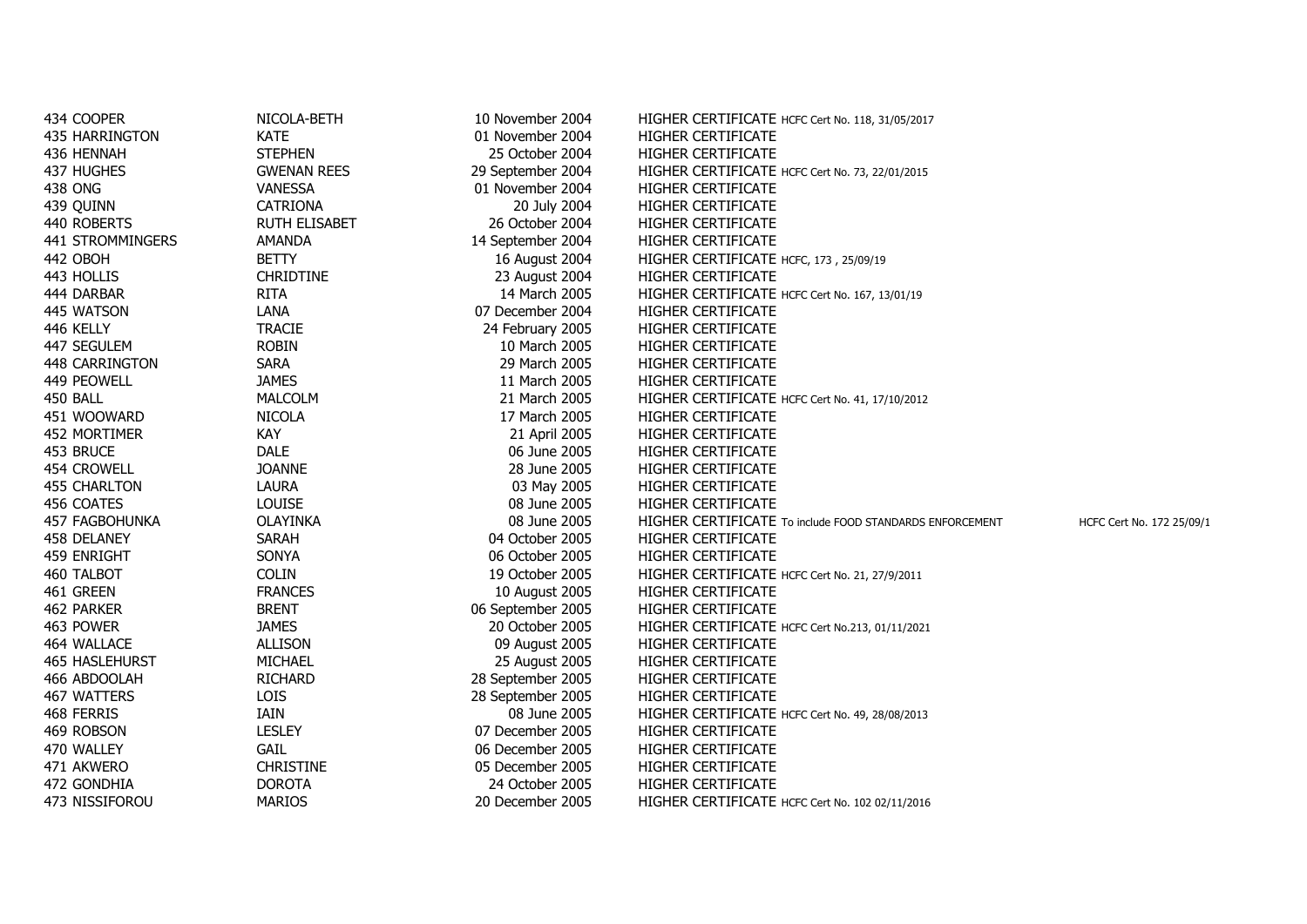| 434 COOPER          | NICOLA-BETH          | 10 November 2004  | HIGHER CERTIFICATE HCFC Cert No. 118, 31/05/2017                                      |
|---------------------|----------------------|-------------------|---------------------------------------------------------------------------------------|
| 435 HARRINGTON      | <b>KATE</b>          | 01 November 2004  | HIGHER CERTIFICATE                                                                    |
| 436 HENNAH          | <b>STEPHEN</b>       | 25 October 2004   | HIGHER CERTIFICATE                                                                    |
| 437 HUGHES          | <b>GWENAN REES</b>   | 29 September 2004 | HIGHER CERTIFICATE HCFC Cert No. 73, 22/01/2015                                       |
| 438 ONG             | <b>VANESSA</b>       | 01 November 2004  | HIGHER CERTIFICATE                                                                    |
| 439 QUINN           | <b>CATRIONA</b>      | 20 July 2004      | HIGHER CERTIFICATE                                                                    |
| 440 ROBERTS         | <b>RUTH ELISABET</b> | 26 October 2004   | HIGHER CERTIFICATE                                                                    |
| 441 STROMMINGERS    | AMANDA               | 14 September 2004 | HIGHER CERTIFICATE                                                                    |
| 442 OBOH            | <b>BETTY</b>         | 16 August 2004    | HIGHER CERTIFICATE HCFC, 173, 25/09/19                                                |
| 443 HOLLIS          | <b>CHRIDTINE</b>     | 23 August 2004    | HIGHER CERTIFICATE                                                                    |
| 444 DARBAR          | <b>RITA</b>          | 14 March 2005     | HIGHER CERTIFICATE HCFC Cert No. 167, 13/01/19                                        |
| 445 WATSON          | LANA                 | 07 December 2004  | HIGHER CERTIFICATE                                                                    |
| 446 KELLY           | <b>TRACIE</b>        | 24 February 2005  | HIGHER CERTIFICATE                                                                    |
| 447 SEGULEM         | <b>ROBIN</b>         | 10 March 2005     | HIGHER CERTIFICATE                                                                    |
| 448 CARRINGTON      | SARA                 | 29 March 2005     | HIGHER CERTIFICATE                                                                    |
| 449 PEOWELL         | <b>JAMES</b>         | 11 March 2005     | HIGHER CERTIFICATE                                                                    |
| 450 BALL            | <b>MALCOLM</b>       | 21 March 2005     | HIGHER CERTIFICATE HCFC Cert No. 41, 17/10/2012                                       |
| 451 WOOWARD         | <b>NICOLA</b>        | 17 March 2005     | HIGHER CERTIFICATE                                                                    |
| 452 MORTIMER        | <b>KAY</b>           | 21 April 2005     | HIGHER CERTIFICATE                                                                    |
| 453 BRUCE           | <b>DALE</b>          | 06 June 2005      | HIGHER CERTIFICATE                                                                    |
| 454 CROWELL         | <b>JOANNE</b>        | 28 June 2005      | HIGHER CERTIFICATE                                                                    |
| <b>455 CHARLTON</b> | <b>LAURA</b>         | 03 May 2005       | HIGHER CERTIFICATE                                                                    |
| 456 COATES          | <b>LOUISE</b>        | 08 June 2005      | HIGHER CERTIFICATE                                                                    |
| 457 FAGBOHUNKA      | <b>OLAYINKA</b>      | 08 June 2005      | HIGHER CERTIFICATE To include FOOD STANDARDS ENFORCEMENT<br>HCFC Cert No. 172 25/09/1 |
| 458 DELANEY         | <b>SARAH</b>         | 04 October 2005   | HIGHER CERTIFICATE                                                                    |
| 459 ENRIGHT         | SONYA                | 06 October 2005   | HIGHER CERTIFICATE                                                                    |
| 460 TALBOT          | <b>COLIN</b>         | 19 October 2005   | HIGHER CERTIFICATE HCFC Cert No. 21, 27/9/2011                                        |
| 461 GREEN           | <b>FRANCES</b>       | 10 August 2005    | HIGHER CERTIFICATE                                                                    |
| 462 PARKER          | <b>BRENT</b>         | 06 September 2005 | HIGHER CERTIFICATE                                                                    |
| 463 POWER           | <b>JAMES</b>         | 20 October 2005   | HIGHER CERTIFICATE HCFC Cert No.213, 01/11/2021                                       |
| 464 WALLACE         | <b>ALLISON</b>       | 09 August 2005    | HIGHER CERTIFICATE                                                                    |
| 465 HASLEHURST      | MICHAEL              | 25 August 2005    | HIGHER CERTIFICATE                                                                    |
| 466 ABDOOLAH        | <b>RICHARD</b>       | 28 September 2005 | HIGHER CERTIFICATE                                                                    |
| 467 WATTERS         | LOIS                 | 28 September 2005 | HIGHER CERTIFICATE                                                                    |
| 468 FERRIS          | IAIN                 | 08 June 2005      | HIGHER CERTIFICATE HCFC Cert No. 49, 28/08/2013                                       |
| 469 ROBSON          | <b>LESLEY</b>        | 07 December 2005  | HIGHER CERTIFICATE                                                                    |
| 470 WALLEY          | GAIL                 | 06 December 2005  | HIGHER CERTIFICATE                                                                    |
| 471 AKWERO          | <b>CHRISTINE</b>     | 05 December 2005  | HIGHER CERTIFICATE                                                                    |
| 472 GONDHIA         | <b>DOROTA</b>        | 24 October 2005   | HIGHER CERTIFICATE                                                                    |
| 473 NISSIFOROU      | <b>MARIOS</b>        | 20 December 2005  | HIGHER CERTIFICATE HCFC Cert No. 102 02/11/2016                                       |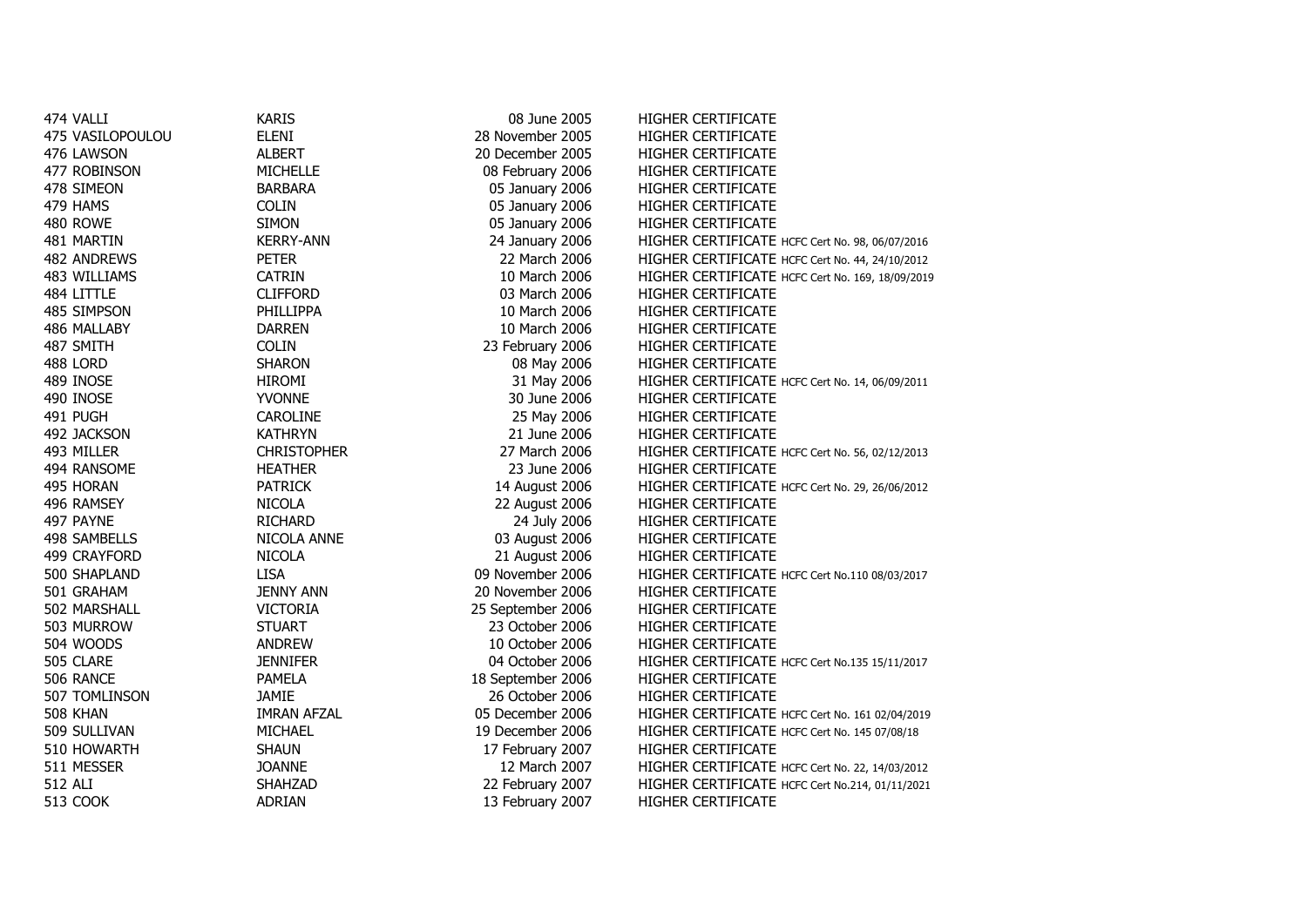| 474 VALLI        | <b>KARIS</b>       | 08 June 2005      | <b>HIGHER CERTIFICATE</b>                        |
|------------------|--------------------|-------------------|--------------------------------------------------|
| 475 VASILOPOULOU | <b>ELENI</b>       | 28 November 2005  | HIGHER CERTIFICATE                               |
| 476 LAWSON       | <b>ALBERT</b>      | 20 December 2005  | HIGHER CERTIFICATE                               |
| 477 ROBINSON     | <b>MICHELLE</b>    | 08 February 2006  | HIGHER CERTIFICATE                               |
| 478 SIMEON       | <b>BARBARA</b>     | 05 January 2006   | HIGHER CERTIFICATE                               |
| 479 HAMS         | <b>COLIN</b>       | 05 January 2006   | HIGHER CERTIFICATE                               |
| 480 ROWE         | <b>SIMON</b>       | 05 January 2006   | <b>HIGHER CERTIFICATE</b>                        |
| 481 MARTIN       | <b>KERRY-ANN</b>   | 24 January 2006   | HIGHER CERTIFICATE HCFC Cert No. 98, 06/07/2016  |
| 482 ANDREWS      | <b>PETER</b>       | 22 March 2006     | HIGHER CERTIFICATE HCFC Cert No. 44, 24/10/2012  |
| 483 WILLIAMS     | <b>CATRIN</b>      | 10 March 2006     | HIGHER CERTIFICATE HCFC Cert No. 169, 18/09/2019 |
| 484 LITTLE       | <b>CLIFFORD</b>    | 03 March 2006     | <b>HIGHER CERTIFICATE</b>                        |
| 485 SIMPSON      | PHILLIPPA          | 10 March 2006     | HIGHER CERTIFICATE                               |
| 486 MALLABY      | <b>DARREN</b>      | 10 March 2006     | HIGHER CERTIFICATE                               |
| 487 SMITH        | <b>COLIN</b>       | 23 February 2006  | HIGHER CERTIFICATE                               |
| 488 LORD         | <b>SHARON</b>      | 08 May 2006       | HIGHER CERTIFICATE                               |
| 489 INOSE        | <b>HIROMI</b>      | 31 May 2006       | HIGHER CERTIFICATE HCFC Cert No. 14, 06/09/2011  |
| 490 INOSE        | <b>YVONNE</b>      | 30 June 2006      | <b>HIGHER CERTIFICATE</b>                        |
| 491 PUGH         | CAROLINE           | 25 May 2006       | HIGHER CERTIFICATE                               |
| 492 JACKSON      | <b>KATHRYN</b>     | 21 June 2006      | HIGHER CERTIFICATE                               |
| 493 MILLER       | <b>CHRISTOPHER</b> | 27 March 2006     | HIGHER CERTIFICATE HCFC Cert No. 56, 02/12/2013  |
| 494 RANSOME      | <b>HEATHER</b>     | 23 June 2006      | <b>HIGHER CERTIFICATE</b>                        |
| 495 HORAN        | <b>PATRICK</b>     | 14 August 2006    | HIGHER CERTIFICATE HCFC Cert No. 29, 26/06/2012  |
| 496 RAMSEY       | <b>NICOLA</b>      | 22 August 2006    | HIGHER CERTIFICATE                               |
| 497 PAYNE        | <b>RICHARD</b>     | 24 July 2006      | HIGHER CERTIFICATE                               |
| 498 SAMBELLS     | NICOLA ANNE        | 03 August 2006    | <b>HIGHER CERTIFICATE</b>                        |
| 499 CRAYFORD     | <b>NICOLA</b>      | 21 August 2006    | HIGHER CERTIFICATE                               |
| 500 SHAPLAND     | <b>LISA</b>        | 09 November 2006  | HIGHER CERTIFICATE HCFC Cert No.110 08/03/2017   |
| 501 GRAHAM       | <b>JENNY ANN</b>   | 20 November 2006  | HIGHER CERTIFICATE                               |
| 502 MARSHALL     | <b>VICTORIA</b>    | 25 September 2006 | HIGHER CERTIFICATE                               |
| 503 MURROW       | <b>STUART</b>      | 23 October 2006   | <b>HIGHER CERTIFICATE</b>                        |
| 504 WOODS        | <b>ANDREW</b>      | 10 October 2006   | HIGHER CERTIFICATE                               |
| 505 CLARE        | <b>JENNIFER</b>    | 04 October 2006   | HIGHER CERTIFICATE HCFC Cert No.135 15/11/2017   |
| 506 RANCE        | <b>PAMELA</b>      | 18 September 2006 | HIGHER CERTIFICATE                               |
| 507 TOMLINSON    | <b>JAMIE</b>       | 26 October 2006   | HIGHER CERTIFICATE                               |
| 508 KHAN         | <b>IMRAN AFZAL</b> | 05 December 2006  | HIGHER CERTIFICATE HCFC Cert No. 161 02/04/2019  |
| 509 SULLIVAN     | MICHAEL            | 19 December 2006  | HIGHER CERTIFICATE HCFC Cert No. 145 07/08/18    |
| 510 HOWARTH      | <b>SHAUN</b>       | 17 February 2007  | <b>HIGHER CERTIFICATE</b>                        |
| 511 MESSER       | <b>JOANNE</b>      | 12 March 2007     | HIGHER CERTIFICATE HCFC Cert No. 22, 14/03/2012  |
| 512 ALI          | <b>SHAHZAD</b>     | 22 February 2007  | HIGHER CERTIFICATE HCFC Cert No.214, 01/11/2021  |
| <b>513 COOK</b>  | <b>ADRIAN</b>      | 13 February 2007  | HIGHER CERTIFICATE                               |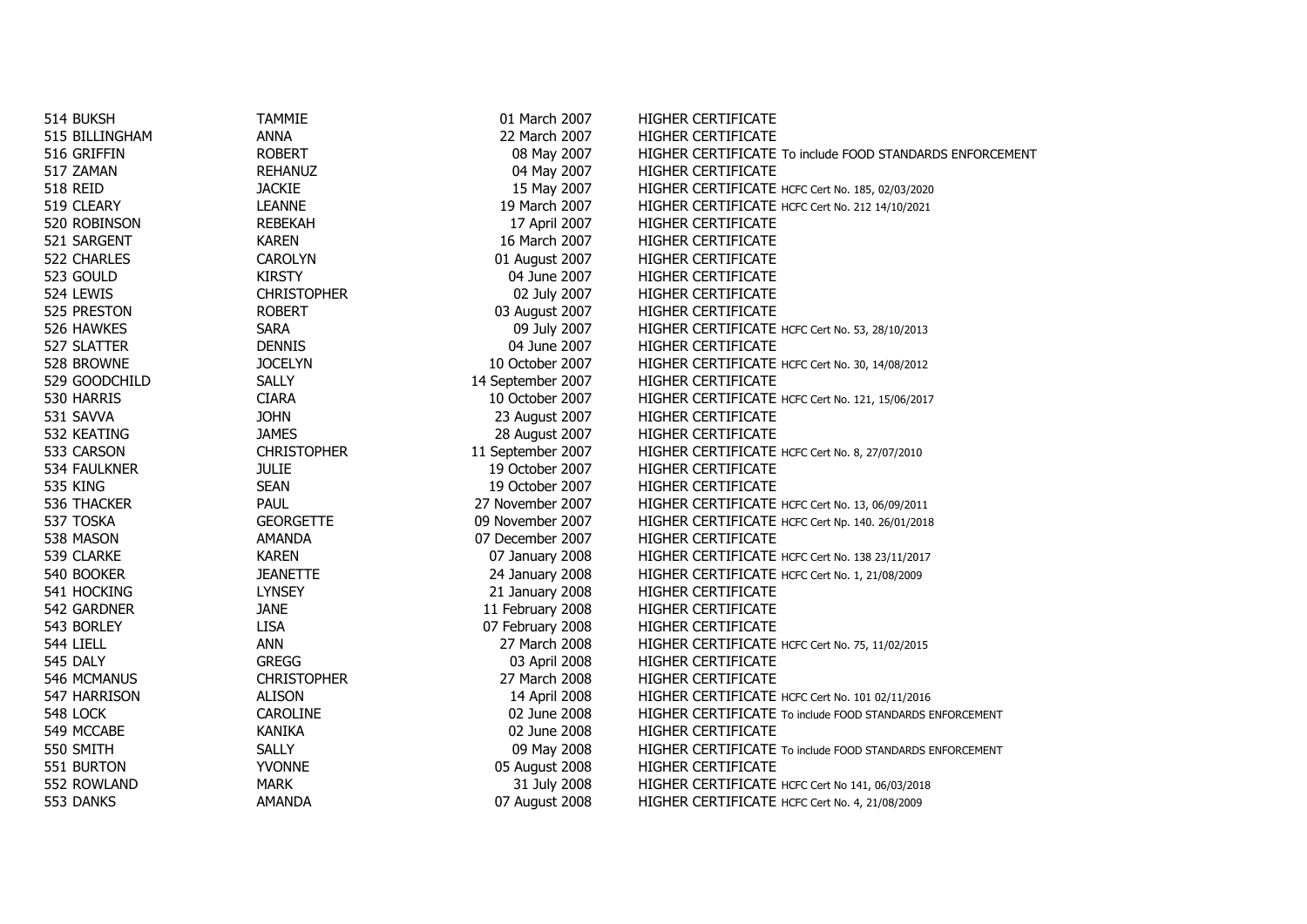| 514 BUKSH       | <b>TAMMIE</b>      | 01 March 2007     | HIGHER CERTIFICATE                                       |
|-----------------|--------------------|-------------------|----------------------------------------------------------|
| 515 BILLINGHAM  | <b>ANNA</b>        | 22 March 2007     | HIGHER CERTIFICATE                                       |
| 516 GRIFFIN     | <b>ROBERT</b>      | 08 May 2007       | HIGHER CERTIFICATE To include FOOD STANDARDS ENFORCEMENT |
| 517 ZAMAN       | <b>REHANUZ</b>     | 04 May 2007       | HIGHER CERTIFICATE                                       |
| <b>518 REID</b> | <b>JACKIE</b>      | 15 May 2007       | HIGHER CERTIFICATE HCFC Cert No. 185, 02/03/2020         |
| 519 CLEARY      | <b>LEANNE</b>      | 19 March 2007     | HIGHER CERTIFICATE HCFC Cert No. 212 14/10/2021          |
| 520 ROBINSON    | <b>REBEKAH</b>     | 17 April 2007     | HIGHER CERTIFICATE                                       |
| 521 SARGENT     | <b>KAREN</b>       | 16 March 2007     | HIGHER CERTIFICATE                                       |
| 522 CHARLES     | <b>CAROLYN</b>     | 01 August 2007    | <b>HIGHER CERTIFICATE</b>                                |
| 523 GOULD       | <b>KIRSTY</b>      | 04 June 2007      | HIGHER CERTIFICATE                                       |
| 524 LEWIS       | <b>CHRISTOPHER</b> | 02 July 2007      | HIGHER CERTIFICATE                                       |
| 525 PRESTON     | <b>ROBERT</b>      | 03 August 2007    | HIGHER CERTIFICATE                                       |
| 526 HAWKES      | SARA               | 09 July 2007      | HIGHER CERTIFICATE HCFC Cert No. 53, 28/10/2013          |
| 527 SLATTER     | <b>DENNIS</b>      | 04 June 2007      | HIGHER CERTIFICATE                                       |
| 528 BROWNE      | <b>JOCELYN</b>     | 10 October 2007   | HIGHER CERTIFICATE HCFC Cert No. 30, 14/08/2012          |
| 529 GOODCHILD   | <b>SALLY</b>       | 14 September 2007 | HIGHER CERTIFICATE                                       |
| 530 HARRIS      | <b>CIARA</b>       | 10 October 2007   | HIGHER CERTIFICATE HCFC Cert No. 121, 15/06/2017         |
| 531 SAVVA       | <b>JOHN</b>        | 23 August 2007    | HIGHER CERTIFICATE                                       |
| 532 KEATING     | <b>JAMES</b>       | 28 August 2007    | HIGHER CERTIFICATE                                       |
| 533 CARSON      | <b>CHRISTOPHER</b> | 11 September 2007 | HIGHER CERTIFICATE HCFC Cert No. 8, 27/07/2010           |
| 534 FAULKNER    | <b>JULIE</b>       | 19 October 2007   | <b>HIGHER CERTIFICATE</b>                                |
| <b>535 KING</b> | <b>SEAN</b>        | 19 October 2007   | HIGHER CERTIFICATE                                       |
| 536 THACKER     | PAUL               | 27 November 2007  | HIGHER CERTIFICATE HCFC Cert No. 13, 06/09/2011          |
| 537 TOSKA       | <b>GEORGETTE</b>   | 09 November 2007  | HIGHER CERTIFICATE HCFC Cert Np. 140. 26/01/2018         |
| 538 MASON       | <b>AMANDA</b>      | 07 December 2007  | HIGHER CERTIFICATE                                       |
| 539 CLARKE      | <b>KAREN</b>       | 07 January 2008   | HIGHER CERTIFICATE HCFC Cert No. 138 23/11/2017          |
| 540 BOOKER      | <b>JEANETTE</b>    | 24 January 2008   | HIGHER CERTIFICATE HCFC Cert No. 1, 21/08/2009           |
| 541 HOCKING     | <b>LYNSEY</b>      | 21 January 2008   | <b>HIGHER CERTIFICATE</b>                                |
| 542 GARDNER     | <b>JANE</b>        | 11 February 2008  | HIGHER CERTIFICATE                                       |
| 543 BORLEY      | <b>LISA</b>        | 07 February 2008  | HIGHER CERTIFICATE                                       |
| 544 LIELL       | <b>ANN</b>         | 27 March 2008     | HIGHER CERTIFICATE HCFC Cert No. 75, 11/02/2015          |
| 545 DALY        | <b>GREGG</b>       | 03 April 2008     | HIGHER CERTIFICATE                                       |
| 546 MCMANUS     | <b>CHRISTOPHER</b> | 27 March 2008     | HIGHER CERTIFICATE                                       |
| 547 HARRISON    | <b>ALISON</b>      | 14 April 2008     | HIGHER CERTIFICATE HCFC Cert No. 101 02/11/2016          |
| 548 LOCK        | <b>CAROLINE</b>    | 02 June 2008      | HIGHER CERTIFICATE To include FOOD STANDARDS ENFORCEMENT |
| 549 MCCABE      | <b>KANIKA</b>      | 02 June 2008      | HIGHER CERTIFICATE                                       |
| 550 SMITH       | <b>SALLY</b>       | 09 May 2008       | HIGHER CERTIFICATE To include FOOD STANDARDS ENFORCEMENT |
| 551 BURTON      | <b>YVONNE</b>      | 05 August 2008    | HIGHER CERTIFICATE                                       |
| 552 ROWLAND     | <b>MARK</b>        | 31 July 2008      | HIGHER CERTIFICATE HCFC Cert No 141, 06/03/2018          |
| 553 DANKS       | <b>AMANDA</b>      | 07 August 2008    | HIGHER CERTIFICATE HCFC Cert No. 4, 21/08/2009           |
|                 |                    |                   |                                                          |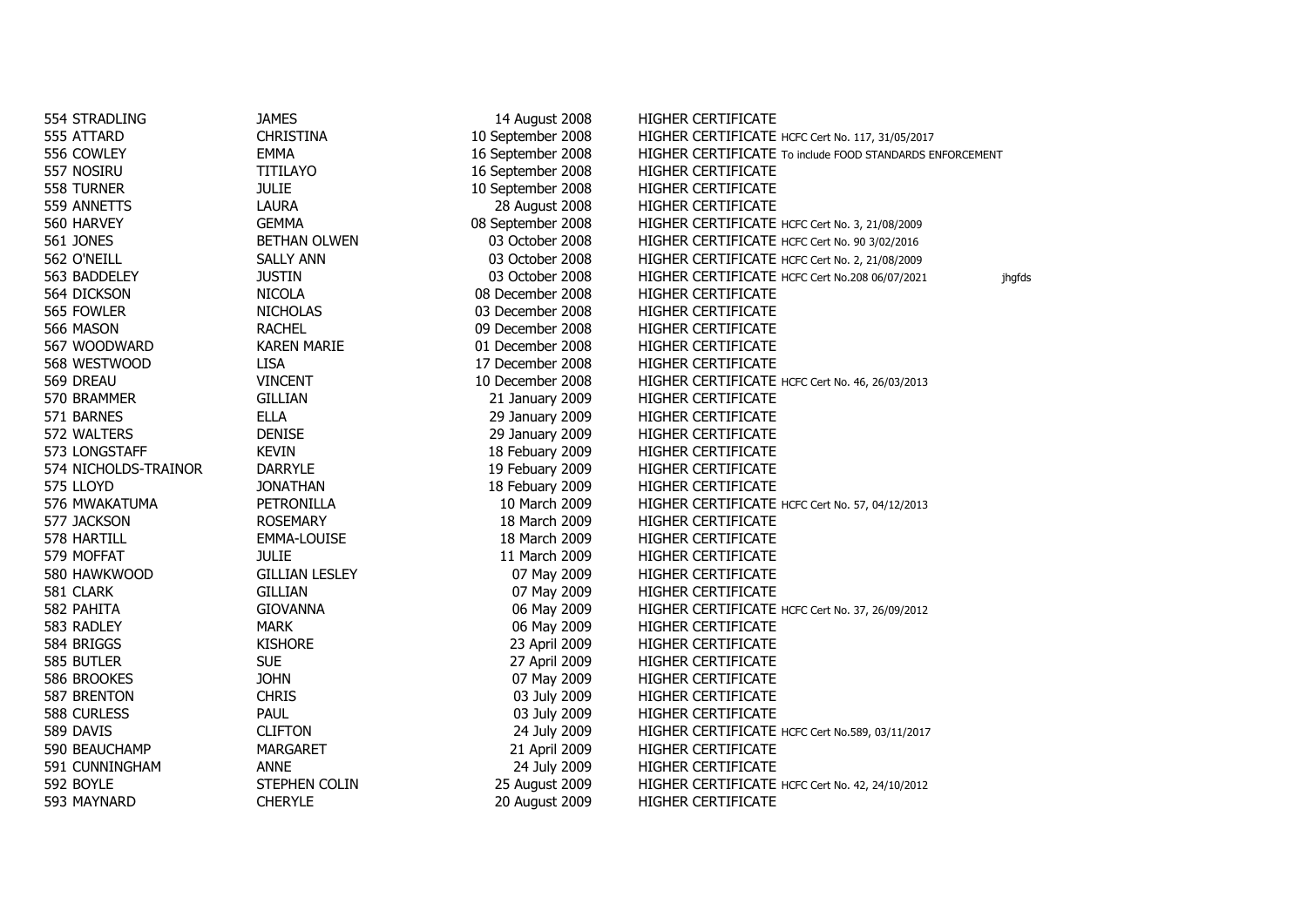| 554 STRADLING        | JAMES                 | 14 August 2008    | HIGHER CERTIFICATE                                       |        |
|----------------------|-----------------------|-------------------|----------------------------------------------------------|--------|
| 555 ATTARD           | <b>CHRISTINA</b>      | 10 September 2008 | HIGHER CERTIFICATE HCFC Cert No. 117, 31/05/2017         |        |
| 556 COWLEY           | <b>EMMA</b>           | 16 September 2008 | HIGHER CERTIFICATE To include FOOD STANDARDS ENFORCEMENT |        |
| 557 NOSIRU           | <b>TITILAYO</b>       | 16 September 2008 | HIGHER CERTIFICATE                                       |        |
| 558 TURNER           | <b>JULIE</b>          | 10 September 2008 | HIGHER CERTIFICATE                                       |        |
| 559 ANNETTS          | <b>LAURA</b>          | 28 August 2008    | HIGHER CERTIFICATE                                       |        |
| 560 HARVEY           | <b>GEMMA</b>          | 08 September 2008 | HIGHER CERTIFICATE HCFC Cert No. 3, 21/08/2009           |        |
| <b>561 JONES</b>     | <b>BETHAN OLWEN</b>   | 03 October 2008   | HIGHER CERTIFICATE HCFC Cert No. 90 3/02/2016            |        |
| 562 O'NEILL          | <b>SALLY ANN</b>      | 03 October 2008   | HIGHER CERTIFICATE HCFC Cert No. 2, 21/08/2009           |        |
| 563 BADDELEY         | <b>JUSTIN</b>         | 03 October 2008   | HIGHER CERTIFICATE HCFC Cert No.208 06/07/2021           | jhgfds |
| 564 DICKSON          | <b>NICOLA</b>         | 08 December 2008  | <b>HIGHER CERTIFICATE</b>                                |        |
| 565 FOWLER           | <b>NICHOLAS</b>       | 03 December 2008  | HIGHER CERTIFICATE                                       |        |
| 566 MASON            | <b>RACHEL</b>         | 09 December 2008  | <b>HIGHER CERTIFICATE</b>                                |        |
| 567 WOODWARD         | <b>KAREN MARIE</b>    | 01 December 2008  | HIGHER CERTIFICATE                                       |        |
| 568 WESTWOOD         | <b>LISA</b>           | 17 December 2008  | HIGHER CERTIFICATE                                       |        |
| 569 DREAU            | <b>VINCENT</b>        | 10 December 2008  | HIGHER CERTIFICATE HCFC Cert No. 46, 26/03/2013          |        |
| 570 BRAMMER          | <b>GILLIAN</b>        | 21 January 2009   | HIGHER CERTIFICATE                                       |        |
| 571 BARNES           | <b>ELLA</b>           | 29 January 2009   | HIGHER CERTIFICATE                                       |        |
| 572 WALTERS          | <b>DENISE</b>         | 29 January 2009   | HIGHER CERTIFICATE                                       |        |
| 573 LONGSTAFF        | <b>KEVIN</b>          | 18 Febuary 2009   | HIGHER CERTIFICATE                                       |        |
| 574 NICHOLDS-TRAINOR | <b>DARRYLE</b>        | 19 Febuary 2009   | HIGHER CERTIFICATE                                       |        |
| 575 LLOYD            | <b>JONATHAN</b>       | 18 Febuary 2009   | HIGHER CERTIFICATE                                       |        |
| 576 MWAKATUMA        | PETRONILLA            | 10 March 2009     | HIGHER CERTIFICATE HCFC Cert No. 57, 04/12/2013          |        |
| 577 JACKSON          | <b>ROSEMARY</b>       | 18 March 2009     | HIGHER CERTIFICATE                                       |        |
| 578 HARTILL          | EMMA-LOUISE           | 18 March 2009     | HIGHER CERTIFICATE                                       |        |
| 579 MOFFAT           | <b>JULIE</b>          | 11 March 2009     | HIGHER CERTIFICATE                                       |        |
| 580 HAWKWOOD         | <b>GILLIAN LESLEY</b> | 07 May 2009       | HIGHER CERTIFICATE                                       |        |
| 581 CLARK            | <b>GILLIAN</b>        | 07 May 2009       | HIGHER CERTIFICATE                                       |        |
| 582 PAHITA           | <b>GIOVANNA</b>       | 06 May 2009       | HIGHER CERTIFICATE HCFC Cert No. 37, 26/09/2012          |        |
| 583 RADLEY           | <b>MARK</b>           | 06 May 2009       | <b>HIGHER CERTIFICATE</b>                                |        |
| 584 BRIGGS           | <b>KISHORE</b>        | 23 April 2009     | HIGHER CERTIFICATE                                       |        |
| 585 BUTLER           | <b>SUE</b>            | 27 April 2009     | HIGHER CERTIFICATE                                       |        |
| 586 BROOKES          | <b>JOHN</b>           | 07 May 2009       | <b>HIGHER CERTIFICATE</b>                                |        |
| 587 BRENTON          | <b>CHRIS</b>          | 03 July 2009      | HIGHER CERTIFICATE                                       |        |
| 588 CURLESS          | PAUL                  | 03 July 2009      | HIGHER CERTIFICATE                                       |        |
| 589 DAVIS            | <b>CLIFTON</b>        | 24 July 2009      | HIGHER CERTIFICATE HCFC Cert No.589, 03/11/2017          |        |
| 590 BEAUCHAMP        | <b>MARGARET</b>       | 21 April 2009     | HIGHER CERTIFICATE                                       |        |
| 591 CUNNINGHAM       | <b>ANNE</b>           | 24 July 2009      | HIGHER CERTIFICATE                                       |        |
| 592 BOYLE            | <b>STEPHEN COLIN</b>  | 25 August 2009    | HIGHER CERTIFICATE HCFC Cert No. 42, 24/10/2012          |        |
| 593 MAYNARD          | <b>CHERYLE</b>        | 20 August 2009    | HIGHER CERTIFICATE                                       |        |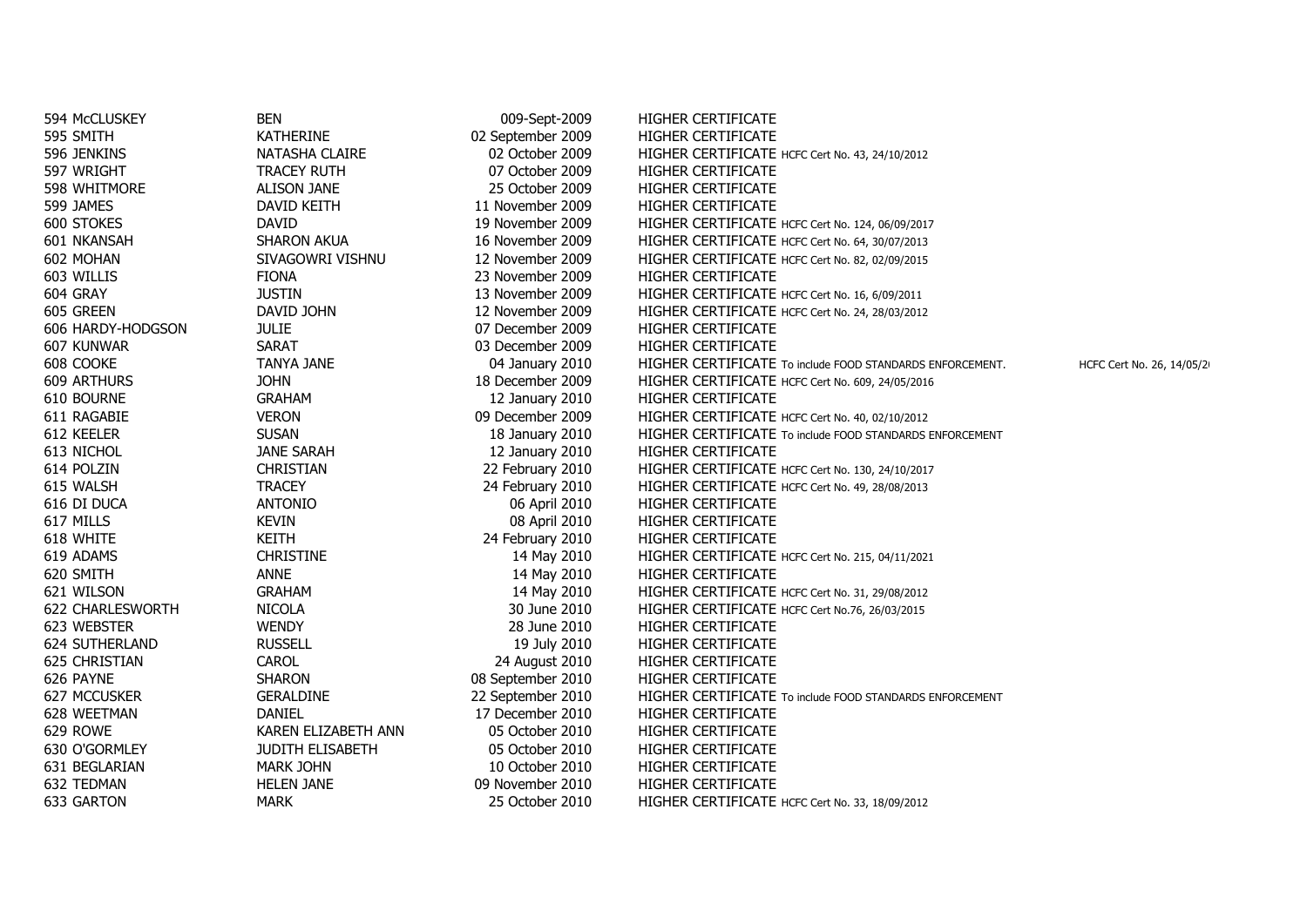| 594 McCLUSKEY         | <b>BEN</b>              | 009-Sept-2009     | <b>HIGHER CERTIFICATE</b>                                                              |
|-----------------------|-------------------------|-------------------|----------------------------------------------------------------------------------------|
| 595 SMITH             | <b>KATHERINE</b>        | 02 September 2009 | HIGHER CERTIFICATE                                                                     |
| 596 JENKINS           | NATASHA CLAIRE          | 02 October 2009   | HIGHER CERTIFICATE HCFC Cert No. 43, 24/10/2012                                        |
| 597 WRIGHT            | <b>TRACEY RUTH</b>      | 07 October 2009   | <b>HIGHER CERTIFICATE</b>                                                              |
| 598 WHITMORE          | <b>ALISON JANE</b>      | 25 October 2009   | <b>HIGHER CERTIFICATE</b>                                                              |
| 599 JAMES             | DAVID KEITH             | 11 November 2009  | <b>HIGHER CERTIFICATE</b>                                                              |
| 600 STOKES            | <b>DAVID</b>            | 19 November 2009  | HIGHER CERTIFICATE HCFC Cert No. 124, 06/09/2017                                       |
| 601 NKANSAH           | <b>SHARON AKUA</b>      | 16 November 2009  | HIGHER CERTIFICATE HCFC Cert No. 64, 30/07/2013                                        |
| 602 MOHAN             | SIVAGOWRI VISHNU        | 12 November 2009  | HIGHER CERTIFICATE HCFC Cert No. 82, 02/09/2015                                        |
| 603 WILLIS            | <b>FIONA</b>            | 23 November 2009  | <b>HIGHER CERTIFICATE</b>                                                              |
| 604 GRAY              | <b>JUSTIN</b>           | 13 November 2009  | HIGHER CERTIFICATE HCFC Cert No. 16, 6/09/2011                                         |
| 605 GREEN             | DAVID JOHN              | 12 November 2009  | HIGHER CERTIFICATE HCFC Cert No. 24, 28/03/2012                                        |
| 606 HARDY-HODGSON     | <b>JULIE</b>            | 07 December 2009  | <b>HIGHER CERTIFICATE</b>                                                              |
| 607 KUNWAR            | <b>SARAT</b>            | 03 December 2009  | <b>HIGHER CERTIFICATE</b>                                                              |
| 608 COOKE             | <b>TANYA JANE</b>       | 04 January 2010   | HIGHER CERTIFICATE To include FOOD STANDARDS ENFORCEMENT.<br>HCFC Cert No. 26, 14/05/2 |
| <b>609 ARTHURS</b>    | <b>JOHN</b>             | 18 December 2009  | HIGHER CERTIFICATE HCFC Cert No. 609, 24/05/2016                                       |
| 610 BOURNE            | <b>GRAHAM</b>           | 12 January 2010   | HIGHER CERTIFICATE                                                                     |
| 611 RAGABIE           | <b>VERON</b>            | 09 December 2009  | HIGHER CERTIFICATE HCFC Cert No. 40, 02/10/2012                                        |
| 612 KEELER            | <b>SUSAN</b>            | 18 January 2010   | HIGHER CERTIFICATE To include FOOD STANDARDS ENFORCEMENT                               |
| 613 NICHOL            | <b>JANE SARAH</b>       | 12 January 2010   | <b>HIGHER CERTIFICATE</b>                                                              |
| 614 POLZIN            | <b>CHRISTIAN</b>        | 22 February 2010  | HIGHER CERTIFICATE HCFC Cert No. 130, 24/10/2017                                       |
| 615 WALSH             | <b>TRACEY</b>           | 24 February 2010  | HIGHER CERTIFICATE HCFC Cert No. 49, 28/08/2013                                        |
| 616 DI DUCA           | <b>ANTONIO</b>          | 06 April 2010     | <b>HIGHER CERTIFICATE</b>                                                              |
| 617 MILLS             | <b>KEVIN</b>            | 08 April 2010     | HIGHER CERTIFICATE                                                                     |
| 618 WHITE             | <b>KEITH</b>            | 24 February 2010  | HIGHER CERTIFICATE                                                                     |
| 619 ADAMS             | <b>CHRISTINE</b>        | 14 May 2010       | HIGHER CERTIFICATE HCFC Cert No. 215, 04/11/2021                                       |
| 620 SMITH             | <b>ANNE</b>             | 14 May 2010       | <b>HIGHER CERTIFICATE</b>                                                              |
| 621 WILSON            | <b>GRAHAM</b>           | 14 May 2010       | HIGHER CERTIFICATE HCFC Cert No. 31, 29/08/2012                                        |
| 622 CHARLESWORTH      | <b>NICOLA</b>           | 30 June 2010      | HIGHER CERTIFICATE HCFC Cert No.76, 26/03/2015                                         |
| 623 WEBSTER           | <b>WENDY</b>            | 28 June 2010      | <b>HIGHER CERTIFICATE</b>                                                              |
| <b>624 SUTHERLAND</b> | <b>RUSSELL</b>          | 19 July 2010      | <b>HIGHER CERTIFICATE</b>                                                              |
| <b>625 CHRISTIAN</b>  | CAROL                   | 24 August 2010    | <b>HIGHER CERTIFICATE</b>                                                              |
| 626 PAYNE             | <b>SHARON</b>           | 08 September 2010 | HIGHER CERTIFICATE                                                                     |
| <b>627 MCCUSKER</b>   | <b>GERALDINE</b>        | 22 September 2010 | <b>HIGHER CERTIFICATE</b> To include FOOD STANDARDS ENFORCEMENT                        |
| 628 WEETMAN           | <b>DANIEL</b>           | 17 December 2010  | HIGHER CERTIFICATE                                                                     |
| 629 ROWE              | KAREN ELIZABETH ANN     | 05 October 2010   | <b>HIGHER CERTIFICATE</b>                                                              |
| 630 O'GORMLEY         | <b>JUDITH ELISABETH</b> | 05 October 2010   | <b>HIGHER CERTIFICATE</b>                                                              |
| 631 BEGLARIAN         | <b>MARK JOHN</b>        | 10 October 2010   | <b>HIGHER CERTIFICATE</b>                                                              |
| 632 TEDMAN            | <b>HELEN JANE</b>       | 09 November 2010  | HIGHER CERTIFICATE                                                                     |
| 633 GARTON            | <b>MARK</b>             | 25 October 2010   | HIGHER CERTIFICATE HCFC Cert No. 33, 18/09/2012                                        |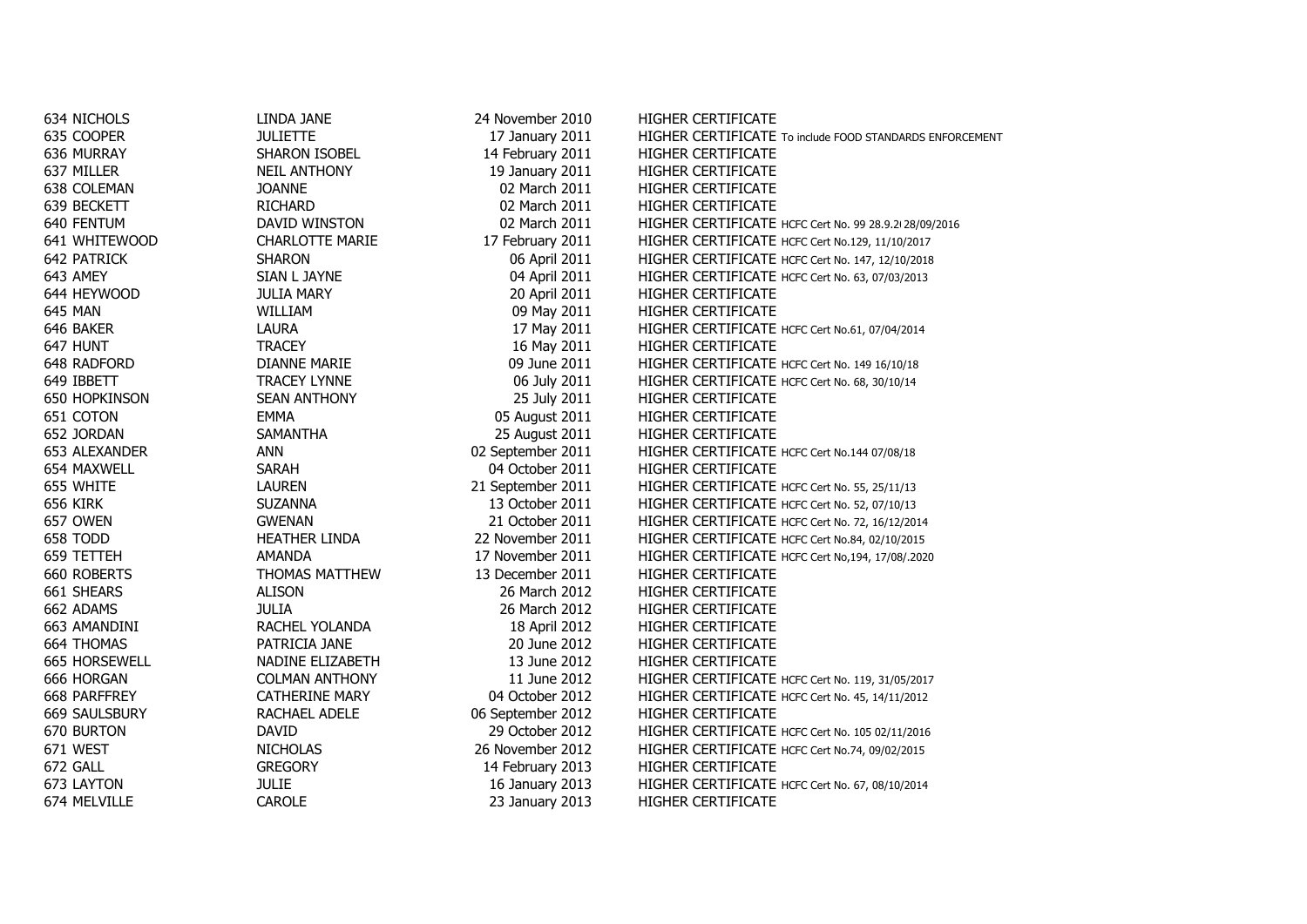| 634 NICHOLS          | LINDA JANE             | 24 November 2010  | <b>HIGHER CERTIFICATE</b>                                |
|----------------------|------------------------|-------------------|----------------------------------------------------------|
| 635 COOPER           | <b>JULIETTE</b>        | 17 January 2011   | HIGHER CERTIFICATE To include FOOD STANDARDS ENFORCEMENT |
| 636 MURRAY           | SHARON ISOBEL          | 14 February 2011  | HIGHER CERTIFICATE                                       |
| 637 MILLER           | <b>NEIL ANTHONY</b>    | 19 January 2011   | HIGHER CERTIFICATE                                       |
| 638 COLEMAN          | <b>JOANNE</b>          | 02 March 2011     | HIGHER CERTIFICATE                                       |
| 639 BECKETT          | <b>RICHARD</b>         | 02 March 2011     | HIGHER CERTIFICATE                                       |
| 640 FENTUM           | DAVID WINSTON          | 02 March 2011     | HIGHER CERTIFICATE HCFC Cert No. 99 28.9.2/28/09/2016    |
| 641 WHITEWOOD        | <b>CHARLOTTE MARIE</b> | 17 February 2011  | HIGHER CERTIFICATE HCFC Cert No.129, 11/10/2017          |
| <b>642 PATRICK</b>   | <b>SHARON</b>          | 06 April 2011     | HIGHER CERTIFICATE HCFC Cert No. 147, 12/10/2018         |
| 643 AMEY             | SIAN L JAYNE           | 04 April 2011     | HIGHER CERTIFICATE HCFC Cert No. 63, 07/03/2013          |
| 644 HEYWOOD          | <b>JULIA MARY</b>      | 20 April 2011     | HIGHER CERTIFICATE                                       |
| 645 MAN              | WILLIAM                | 09 May 2011       | <b>HIGHER CERTIFICATE</b>                                |
| 646 BAKER            | LAURA                  | 17 May 2011       | HIGHER CERTIFICATE HCFC Cert No.61, 07/04/2014           |
| 647 HUNT             | <b>TRACEY</b>          | 16 May 2011       | HIGHER CERTIFICATE                                       |
| 648 RADFORD          | <b>DIANNE MARIE</b>    | 09 June 2011      | HIGHER CERTIFICATE HCFC Cert No. 149 16/10/18            |
| 649 IBBETT           | <b>TRACEY LYNNE</b>    | 06 July 2011      | HIGHER CERTIFICATE HCFC Cert No. 68, 30/10/14            |
| <b>650 HOPKINSON</b> | <b>SEAN ANTHONY</b>    | 25 July 2011      | HIGHER CERTIFICATE                                       |
| 651 COTON            | <b>EMMA</b>            | 05 August 2011    | HIGHER CERTIFICATE                                       |
| 652 JORDAN           | <b>SAMANTHA</b>        | 25 August 2011    | <b>HIGHER CERTIFICATE</b>                                |
| 653 ALEXANDER        | <b>ANN</b>             | 02 September 2011 | HIGHER CERTIFICATE HCFC Cert No.144 07/08/18             |
| 654 MAXWELL          | <b>SARAH</b>           | 04 October 2011   | HIGHER CERTIFICATE                                       |
| 655 WHITE            | <b>LAUREN</b>          | 21 September 2011 | HIGHER CERTIFICATE HCFC Cert No. 55, 25/11/13            |
| 656 KIRK             | <b>SUZANNA</b>         | 13 October 2011   | HIGHER CERTIFICATE HCFC Cert No. 52, 07/10/13            |
| 657 OWEN             | <b>GWENAN</b>          | 21 October 2011   | HIGHER CERTIFICATE HCFC Cert No. 72, 16/12/2014          |
| 658 TODD             | <b>HEATHER LINDA</b>   | 22 November 2011  | HIGHER CERTIFICATE HCFC Cert No.84, 02/10/2015           |
| 659 TETTEH           | AMANDA                 | 17 November 2011  | HIGHER CERTIFICATE HCFC Cert No, 194, 17/08/.2020        |
| 660 ROBERTS          | THOMAS MATTHEW         | 13 December 2011  | HIGHER CERTIFICATE                                       |
| 661 SHEARS           | <b>ALISON</b>          | 26 March 2012     | HIGHER CERTIFICATE                                       |
| 662 ADAMS            | <b>JULIA</b>           | 26 March 2012     | HIGHER CERTIFICATE                                       |
| 663 AMANDINI         | RACHEL YOLANDA         | 18 April 2012     | HIGHER CERTIFICATE                                       |
| 664 THOMAS           | PATRICIA JANE          | 20 June 2012      | HIGHER CERTIFICATE                                       |
| 665 HORSEWELL        | NADINE ELIZABETH       | 13 June 2012      | HIGHER CERTIFICATE                                       |
| 666 HORGAN           | <b>COLMAN ANTHONY</b>  | 11 June 2012      | HIGHER CERTIFICATE HCFC Cert No. 119, 31/05/2017         |
| 668 PARFFREY         | CATHERINE MARY         | 04 October 2012   | HIGHER CERTIFICATE HCFC Cert No. 45, 14/11/2012          |
| <b>669 SAULSBURY</b> | RACHAEL ADELE          | 06 September 2012 | HIGHER CERTIFICATE                                       |
| 670 BURTON           | <b>DAVID</b>           | 29 October 2012   | HIGHER CERTIFICATE HCFC Cert No. 105 02/11/2016          |
| 671 WEST             | <b>NICHOLAS</b>        | 26 November 2012  | HIGHER CERTIFICATE HCFC Cert No.74, 09/02/2015           |
| 672 GALL             | <b>GREGORY</b>         | 14 February 2013  | HIGHER CERTIFICATE                                       |
| 673 LAYTON           | <b>JULIE</b>           | 16 January 2013   | HIGHER CERTIFICATE HCFC Cert No. 67, 08/10/2014          |
| 674 MELVILLE         | <b>CAROLE</b>          | 23 January 2013   | HIGHER CERTIFICATE                                       |
|                      |                        |                   |                                                          |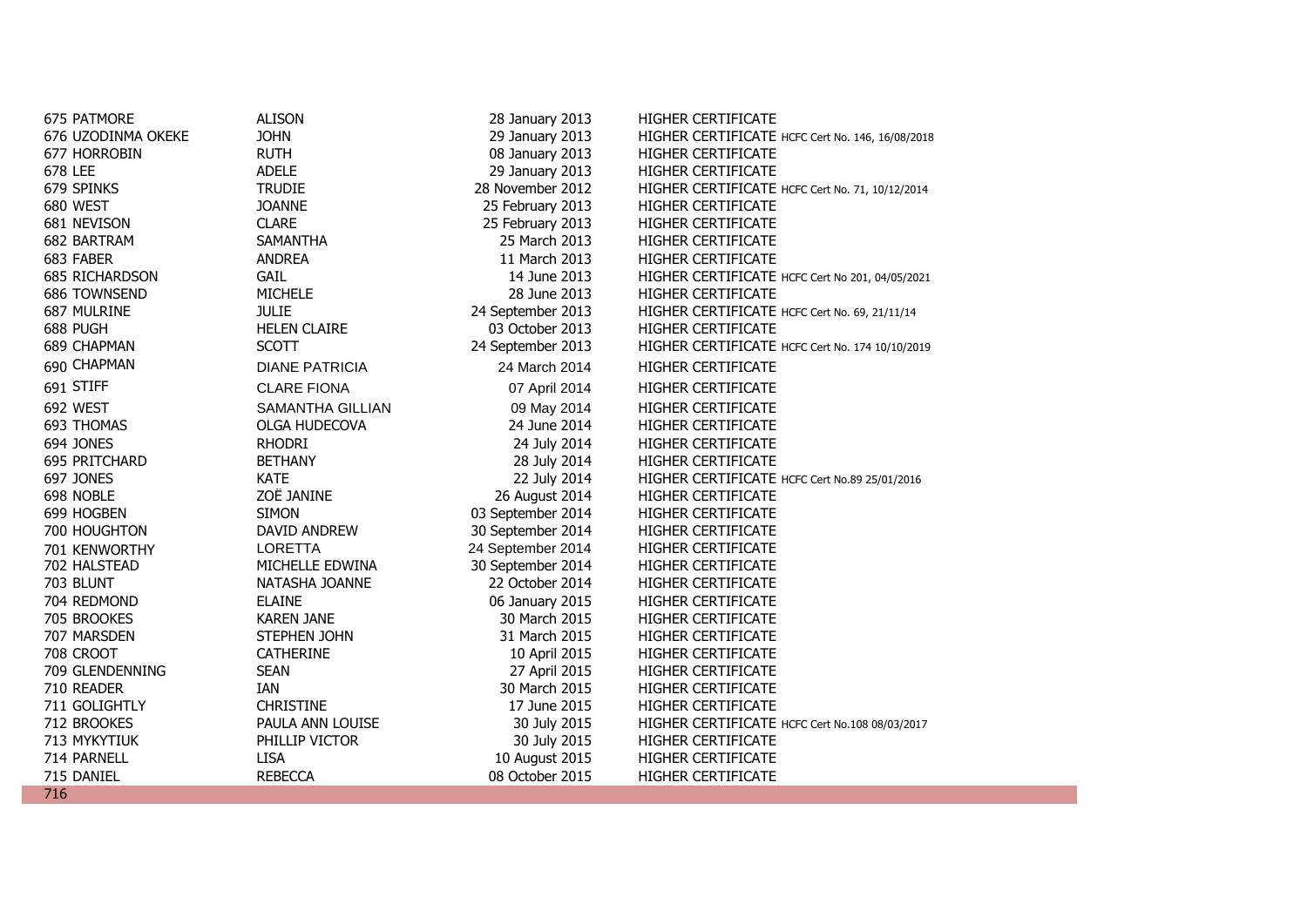| 675 PATMORE           | <b>ALISON</b>           | 28 January 2013   | HIGHER CERTIFICATE                               |
|-----------------------|-------------------------|-------------------|--------------------------------------------------|
| 676 UZODINMA OKEKE    | <b>JOHN</b>             | 29 January 2013   | HIGHER CERTIFICATE HCFC Cert No. 146, 16/08/2018 |
| 677 HORROBIN          | <b>RUTH</b>             | 08 January 2013   | HIGHER CERTIFICATE                               |
| 678 LEE               | <b>ADELE</b>            | 29 January 2013   | HIGHER CERTIFICATE                               |
| 679 SPINKS            | <b>TRUDIE</b>           | 28 November 2012  | HIGHER CERTIFICATE HCFC Cert No. 71, 10/12/2014  |
| 680 WEST              | <b>JOANNE</b>           | 25 February 2013  | <b>HIGHER CERTIFICATE</b>                        |
| 681 NEVISON           | <b>CLARE</b>            | 25 February 2013  | HIGHER CERTIFICATE                               |
| 682 BARTRAM           | <b>SAMANTHA</b>         | 25 March 2013     | HIGHER CERTIFICATE                               |
| 683 FABER             | <b>ANDREA</b>           | 11 March 2013     | HIGHER CERTIFICATE                               |
| <b>685 RICHARDSON</b> | <b>GAIL</b>             | 14 June 2013      | HIGHER CERTIFICATE HCFC Cert No 201, 04/05/2021  |
| 686 TOWNSEND          | <b>MICHELE</b>          | 28 June 2013      | HIGHER CERTIFICATE                               |
| 687 MULRINE           | <b>JULIE</b>            | 24 September 2013 | HIGHER CERTIFICATE HCFC Cert No. 69, 21/11/14    |
| 688 PUGH              | <b>HELEN CLAIRE</b>     | 03 October 2013   | HIGHER CERTIFICATE                               |
| 689 CHAPMAN           | <b>SCOTT</b>            | 24 September 2013 | HIGHER CERTIFICATE HCFC Cert No. 174 10/10/2019  |
| 690 CHAPMAN           | <b>DIANE PATRICIA</b>   | 24 March 2014     | <b>HIGHER CERTIFICATE</b>                        |
| 691 STIFF             | <b>CLARE FIONA</b>      | 07 April 2014     | HIGHER CERTIFICATE                               |
| 692 WEST              | <b>SAMANTHA GILLIAN</b> | 09 May 2014       | HIGHER CERTIFICATE                               |
| 693 THOMAS            | <b>OLGA HUDECOVA</b>    | 24 June 2014      | <b>HIGHER CERTIFICATE</b>                        |
| 694 JONES             | <b>RHODRI</b>           | 24 July 2014      | HIGHER CERTIFICATE                               |
| 695 PRITCHARD         | <b>BETHANY</b>          | 28 July 2014      | <b>HIGHER CERTIFICATE</b>                        |
| 697 JONES             | <b>KATE</b>             | 22 July 2014      | HIGHER CERTIFICATE HCFC Cert No.89 25/01/2016    |
| 698 NOBLE             | ZOË JANINE              | 26 August 2014    | HIGHER CERTIFICATE                               |
| 699 HOGBEN            | <b>SIMON</b>            | 03 September 2014 | HIGHER CERTIFICATE                               |
| 700 HOUGHTON          | DAVID ANDREW            | 30 September 2014 | <b>HIGHER CERTIFICATE</b>                        |
| 701 KENWORTHY         | <b>LORETTA</b>          | 24 September 2014 | <b>HIGHER CERTIFICATE</b>                        |
| 702 HALSTEAD          | MICHELLE EDWINA         | 30 September 2014 | <b>HIGHER CERTIFICATE</b>                        |
| 703 BLUNT             | NATASHA JOANNE          | 22 October 2014   | <b>HIGHER CERTIFICATE</b>                        |
| 704 REDMOND           | <b>ELAINE</b>           | 06 January 2015   | <b>HIGHER CERTIFICATE</b>                        |
| 705 BROOKES           | <b>KAREN JANE</b>       | 30 March 2015     | HIGHER CERTIFICATE                               |
| 707 MARSDEN           | STEPHEN JOHN            | 31 March 2015     | <b>HIGHER CERTIFICATE</b>                        |
| 708 CROOT             | <b>CATHERINE</b>        | 10 April 2015     | HIGHER CERTIFICATE                               |
| 709 GLENDENNING       | <b>SEAN</b>             | 27 April 2015     | HIGHER CERTIFICATE                               |
| 710 READER            | IAN                     | 30 March 2015     | HIGHER CERTIFICATE                               |
| 711 GOLIGHTLY         | <b>CHRISTINE</b>        | 17 June 2015      | HIGHER CERTIFICATE                               |
| 712 BROOKES           | PAULA ANN LOUISE        | 30 July 2015      | HIGHER CERTIFICATE HCFC Cert No.108 08/03/2017   |
| 713 MYKYTIUK          | PHILLIP VICTOR          | 30 July 2015      | <b>HIGHER CERTIFICATE</b>                        |
| 714 PARNELL           | <b>LISA</b>             | 10 August 2015    | <b>HIGHER CERTIFICATE</b>                        |
| 715 DANIEL            | <b>REBECCA</b>          | 08 October 2015   | <b>HIGHER CERTIFICATE</b>                        |
| 716                   |                         |                   |                                                  |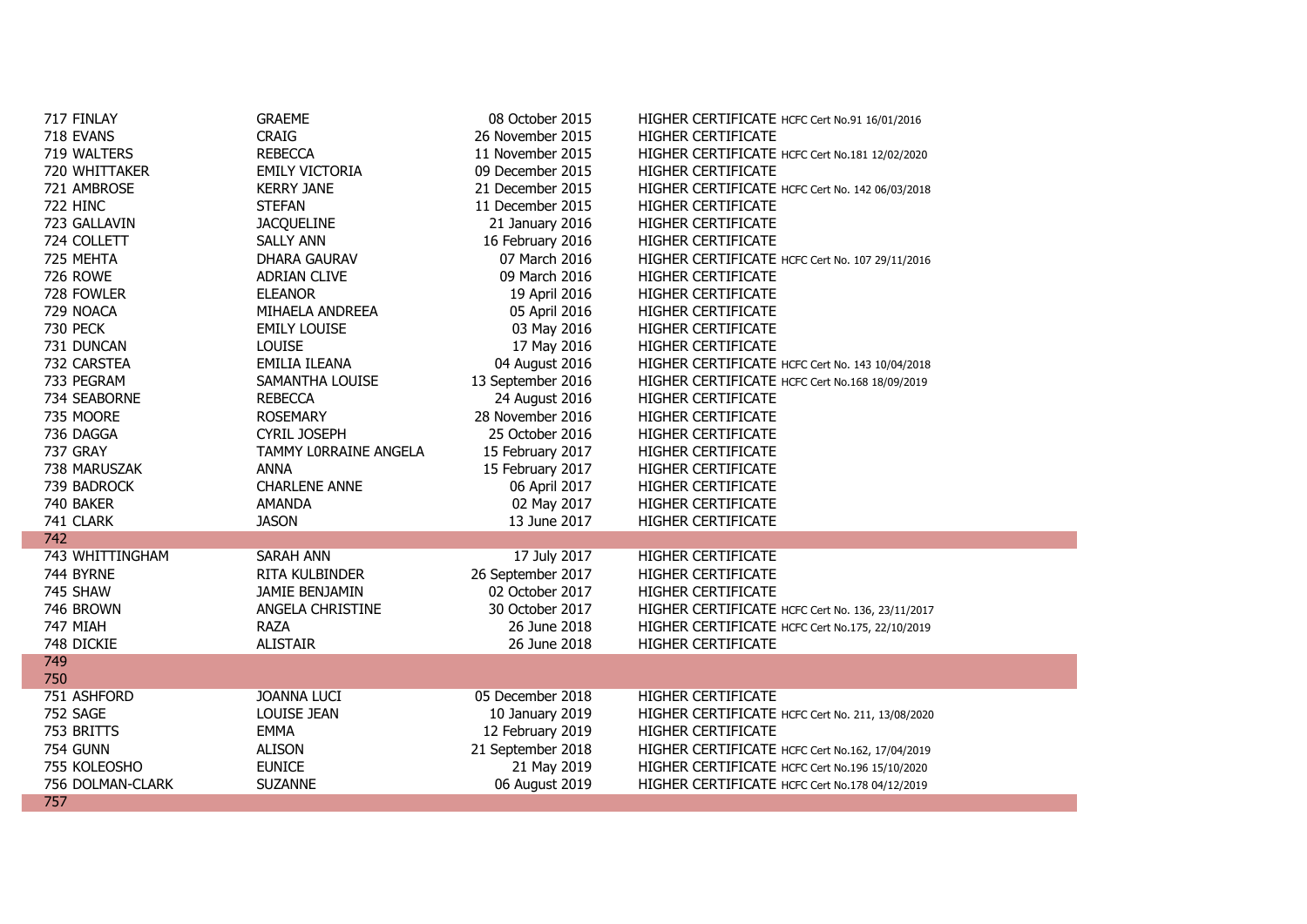| 717 FINLAY       | <b>GRAEME</b>         | 08 October 2015   | HIGHER CERTIFICATE HCFC Cert No.91 16/01/2016    |
|------------------|-----------------------|-------------------|--------------------------------------------------|
| 718 EVANS        | <b>CRAIG</b>          | 26 November 2015  | HIGHER CERTIFICATE                               |
| 719 WALTERS      | <b>REBECCA</b>        | 11 November 2015  | HIGHER CERTIFICATE HCFC Cert No.181 12/02/2020   |
| 720 WHITTAKER    | <b>EMILY VICTORIA</b> | 09 December 2015  | HIGHER CERTIFICATE                               |
| 721 AMBROSE      | <b>KERRY JANE</b>     | 21 December 2015  | HIGHER CERTIFICATE HCFC Cert No. 142 06/03/2018  |
| <b>722 HINC</b>  | <b>STEFAN</b>         | 11 December 2015  | HIGHER CERTIFICATE                               |
| 723 GALLAVIN     | <b>JACQUELINE</b>     | 21 January 2016   | HIGHER CERTIFICATE                               |
| 724 COLLETT      | <b>SALLY ANN</b>      | 16 February 2016  | HIGHER CERTIFICATE                               |
| 725 MEHTA        | DHARA GAURAV          | 07 March 2016     | HIGHER CERTIFICATE HCFC Cert No. 107 29/11/2016  |
| <b>726 ROWE</b>  | <b>ADRIAN CLIVE</b>   | 09 March 2016     | <b>HIGHER CERTIFICATE</b>                        |
| 728 FOWLER       | <b>ELEANOR</b>        | 19 April 2016     | HIGHER CERTIFICATE                               |
| 729 NOACA        | MIHAELA ANDREEA       | 05 April 2016     | HIGHER CERTIFICATE                               |
| <b>730 PECK</b>  | <b>EMILY LOUISE</b>   | 03 May 2016       | HIGHER CERTIFICATE                               |
| 731 DUNCAN       | <b>LOUISE</b>         | 17 May 2016       | HIGHER CERTIFICATE                               |
| 732 CARSTEA      | EMILIA ILEANA         | 04 August 2016    | HIGHER CERTIFICATE HCFC Cert No. 143 10/04/2018  |
| 733 PEGRAM       | SAMANTHA LOUISE       | 13 September 2016 | HIGHER CERTIFICATE HCFC Cert No.168 18/09/2019   |
| 734 SEABORNE     | <b>REBECCA</b>        | 24 August 2016    | HIGHER CERTIFICATE                               |
| 735 MOORE        | <b>ROSEMARY</b>       | 28 November 2016  | HIGHER CERTIFICATE                               |
| 736 DAGGA        | <b>CYRIL JOSEPH</b>   | 25 October 2016   | HIGHER CERTIFICATE                               |
| <b>737 GRAY</b>  | TAMMY LORRAINE ANGELA | 15 February 2017  | HIGHER CERTIFICATE                               |
| 738 MARUSZAK     | <b>ANNA</b>           | 15 February 2017  | HIGHER CERTIFICATE                               |
| 739 BADROCK      | <b>CHARLENE ANNE</b>  | 06 April 2017     | HIGHER CERTIFICATE                               |
| 740 BAKER        | AMANDA                | 02 May 2017       | HIGHER CERTIFICATE                               |
| 741 CLARK        | <b>JASON</b>          | 13 June 2017      | HIGHER CERTIFICATE                               |
| 742              |                       |                   |                                                  |
| 743 WHITTINGHAM  | <b>SARAH ANN</b>      | 17 July 2017      | <b>HIGHER CERTIFICATE</b>                        |
| 744 BYRNE        | RITA KULBINDER        | 26 September 2017 | HIGHER CERTIFICATE                               |
| 745 SHAW         | JAMIE BENJAMIN        | 02 October 2017   | HIGHER CERTIFICATE                               |
| 746 BROWN        | ANGELA CHRISTINE      | 30 October 2017   | HIGHER CERTIFICATE HCFC Cert No. 136, 23/11/2017 |
| <b>747 MIAH</b>  | <b>RAZA</b>           | 26 June 2018      | HIGHER CERTIFICATE HCFC Cert No.175, 22/10/2019  |
| 748 DICKIE       | <b>ALISTAIR</b>       | 26 June 2018      | HIGHER CERTIFICATE                               |
| 749              |                       |                   |                                                  |
| 750              |                       |                   |                                                  |
| 751 ASHFORD      | <b>JOANNA LUCI</b>    | 05 December 2018  | <b>HIGHER CERTIFICATE</b>                        |
| 752 SAGE         | LOUISE JEAN           | 10 January 2019   | HIGHER CERTIFICATE HCFC Cert No. 211, 13/08/2020 |
| 753 BRITTS       | <b>EMMA</b>           | 12 February 2019  | HIGHER CERTIFICATE                               |
| <b>754 GUNN</b>  | ALISON                | 21 September 2018 | HIGHER CERTIFICATE HCFC Cert No.162, 17/04/2019  |
| 755 KOLEOSHO     | <b>EUNICE</b>         | 21 May 2019       | HIGHER CERTIFICATE HCFC Cert No.196 15/10/2020   |
| 756 DOLMAN-CLARK | <b>SUZANNE</b>        | 06 August 2019    | HIGHER CERTIFICATE HCFC Cert No.178 04/12/2019   |
| 757              |                       |                   |                                                  |

F